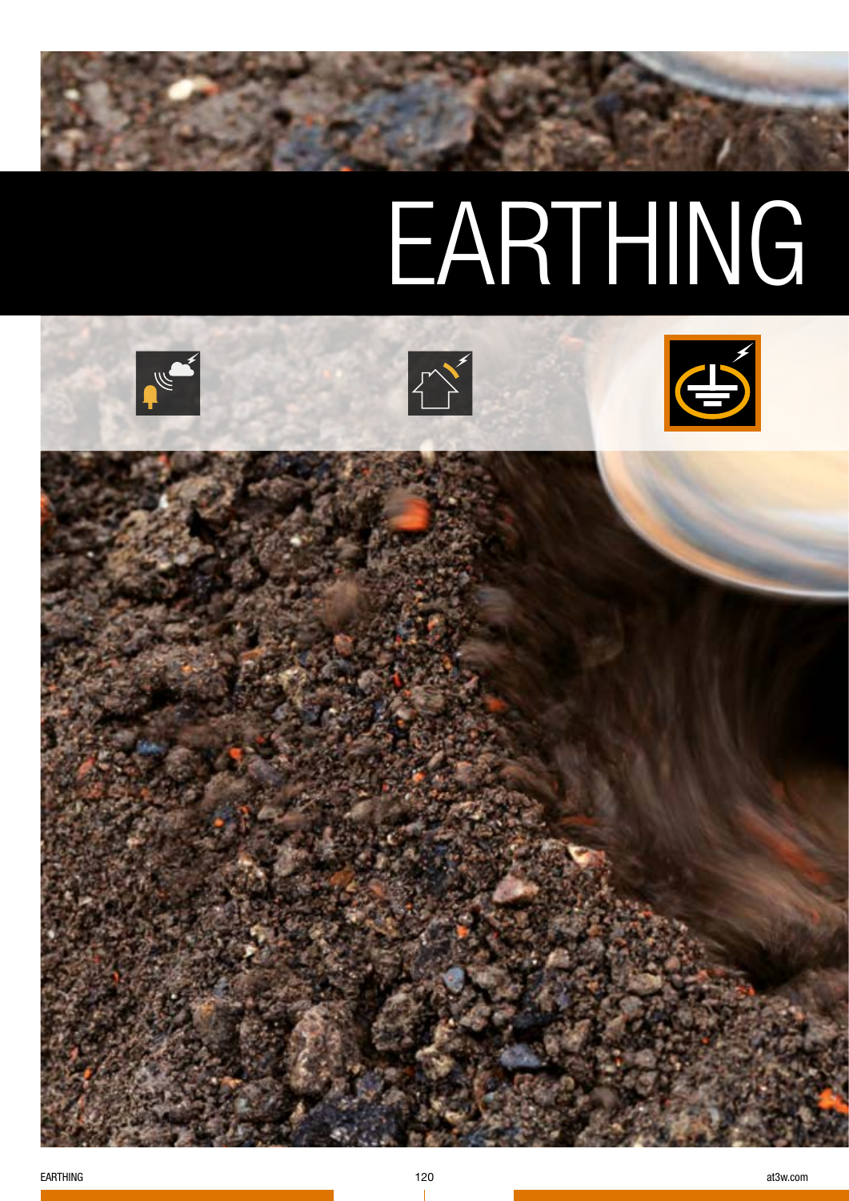# EARTHING

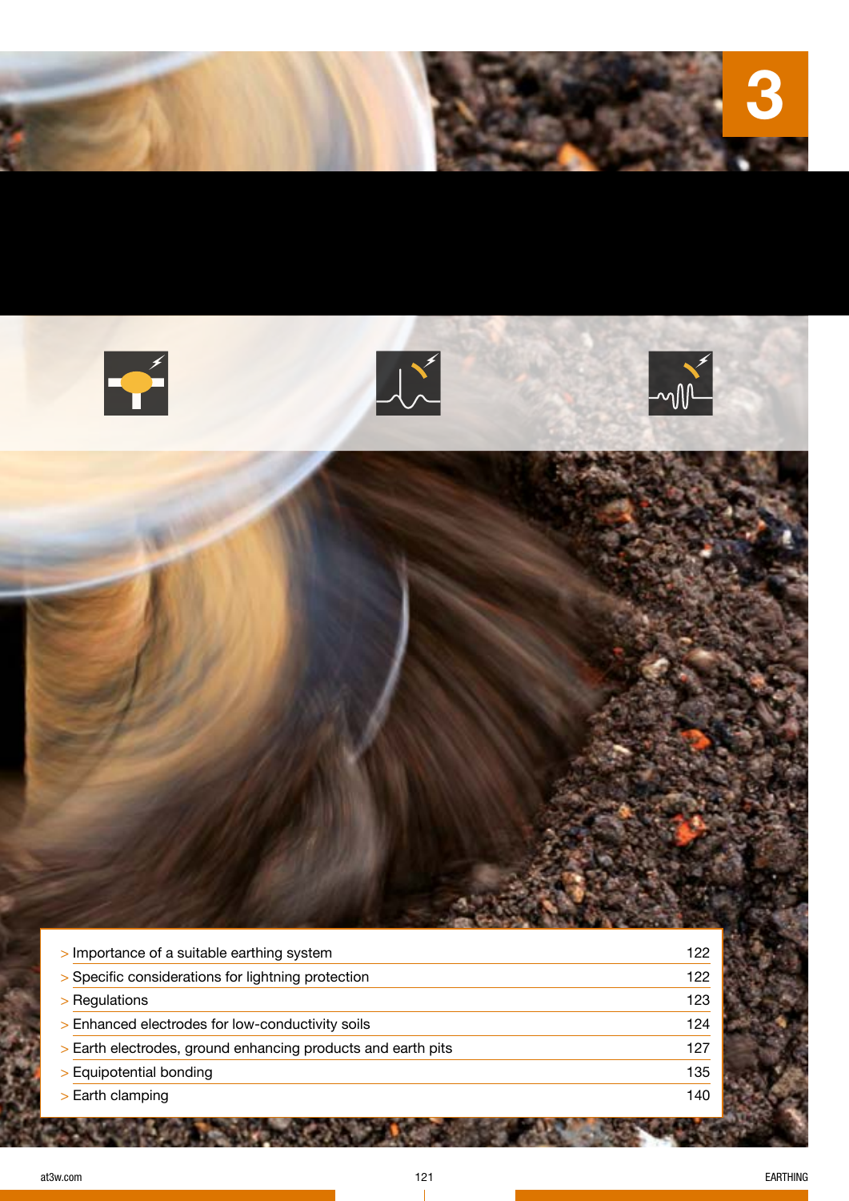







| > Importance of a suitable earthing system                   | 122 |
|--------------------------------------------------------------|-----|
| > Specific considerations for lightning protection           | 122 |
| > Regulations                                                | 123 |
| > Enhanced electrodes for low-conductivity soils             | 124 |
| > Earth electrodes, ground enhancing products and earth pits | 127 |
| > Equipotential bonding                                      | 135 |
| > Earth clamping                                             | 140 |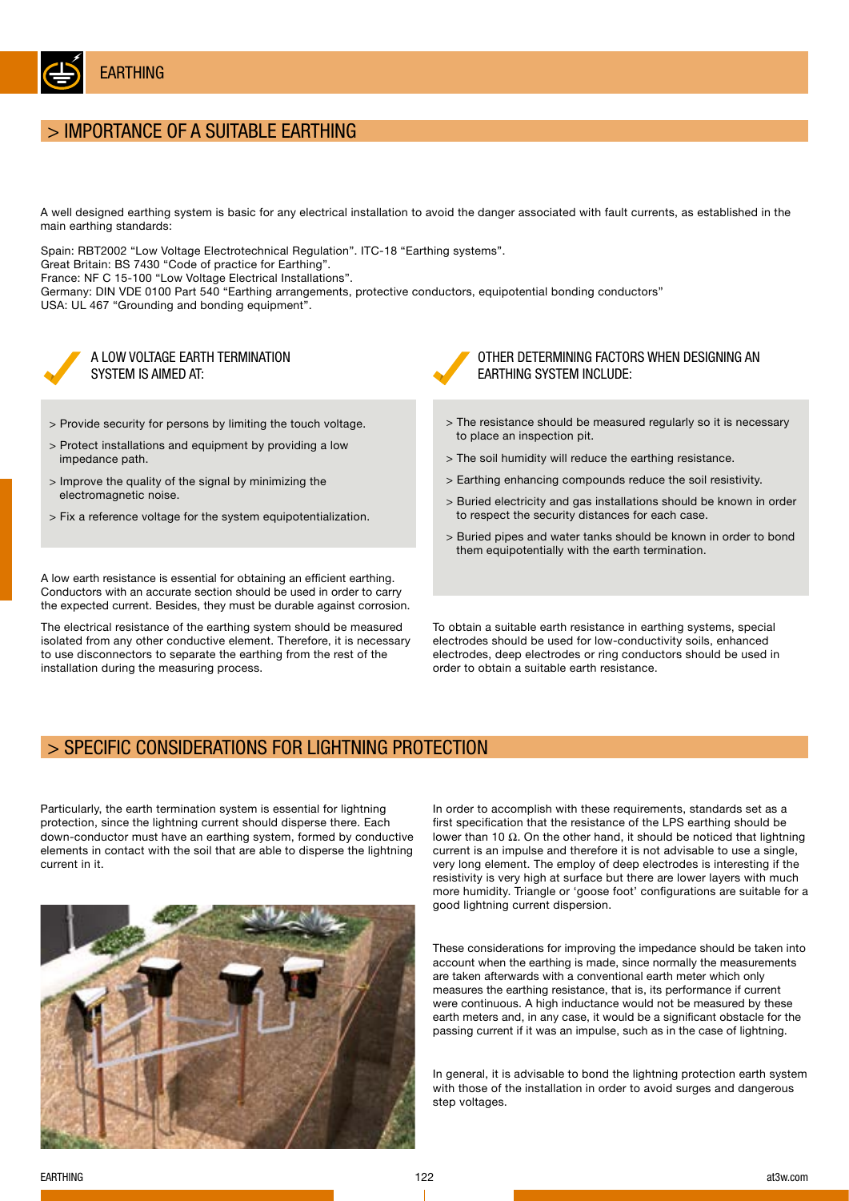

## > IMPORTANCE OF A SUITABLE EARTHING

A well designed earthing system is basic for any electrical installation to avoid the danger associated with fault currents, as established in the main earthing standards:

Spain: RBT2002 "Low Voltage Electrotechnical Regulation". ITC-18 "Earthing systems".

Great Britain: BS 7430 "Code of practice for Earthing".

France: NF C 15-100 "Low Voltage Electrical Installations".

Germany: DIN VDE 0100 Part 540 "Earthing arrangements, protective conductors, equipotential bonding conductors" USA: UL 467 "Grounding and bonding equipment".



A LOW VOLTAGE EARTH TERMINATION SYSTEM IS AIMED AT:

- > Provide security for persons by limiting the touch voltage.
- > Protect installations and equipment by providing a low impedance path.
- > Improve the quality of the signal by minimizing the electromagnetic noise.
- > Fix a reference voltage for the system equipotentialization.

A low earth resistance is essential for obtaining an efficient earthing. Conductors with an accurate section should be used in order to carry the expected current. Besides, they must be durable against corrosion.

The electrical resistance of the earthing system should be measured isolated from any other conductive element. Therefore, it is necessary to use disconnectors to separate the earthing from the rest of the installation during the measuring process.

OTHER DETERMINING FACTORS WHEN DESIGNING AN EARTHING SYSTEM INCLUDE:

- > The resistance should be measured regularly so it is necessary to place an inspection pit.
- > The soil humidity will reduce the earthing resistance.
- > Earthing enhancing compounds reduce the soil resistivity.
- > Buried electricity and gas installations should be known in order to respect the security distances for each case.
- > Buried pipes and water tanks should be known in order to bond them equipotentially with the earth termination.

To obtain a suitable earth resistance in earthing systems, special electrodes should be used for low-conductivity soils, enhanced electrodes, deep electrodes or ring conductors should be used in order to obtain a suitable earth resistance.

## > SPECIFIC CONSIDERATIONS FOR LIGHTNING PROTECTION

Particularly, the earth termination system is essential for lightning protection, since the lightning current should disperse there. Each down-conductor must have an earthing system, formed by conductive elements in contact with the soil that are able to disperse the lightning current in it.



In order to accomplish with these requirements, standards set as a first specification that the resistance of the LPS earthing should be lower than 10 Ω. On the other hand, it should be noticed that lightning current is an impulse and therefore it is not advisable to use a single, very long element. The employ of deep electrodes is interesting if the resistivity is very high at surface but there are lower layers with much more humidity. Triangle or 'goose foot' configurations are suitable for a good lightning current dispersion.

These considerations for improving the impedance should be taken into account when the earthing is made, since normally the measurements are taken afterwards with a conventional earth meter which only measures the earthing resistance, that is, its performance if current were continuous. A high inductance would not be measured by these earth meters and, in any case, it would be a significant obstacle for the passing current if it was an impulse, such as in the case of lightning.

In general, it is advisable to bond the lightning protection earth system with those of the installation in order to avoid surges and dangerous step voltages.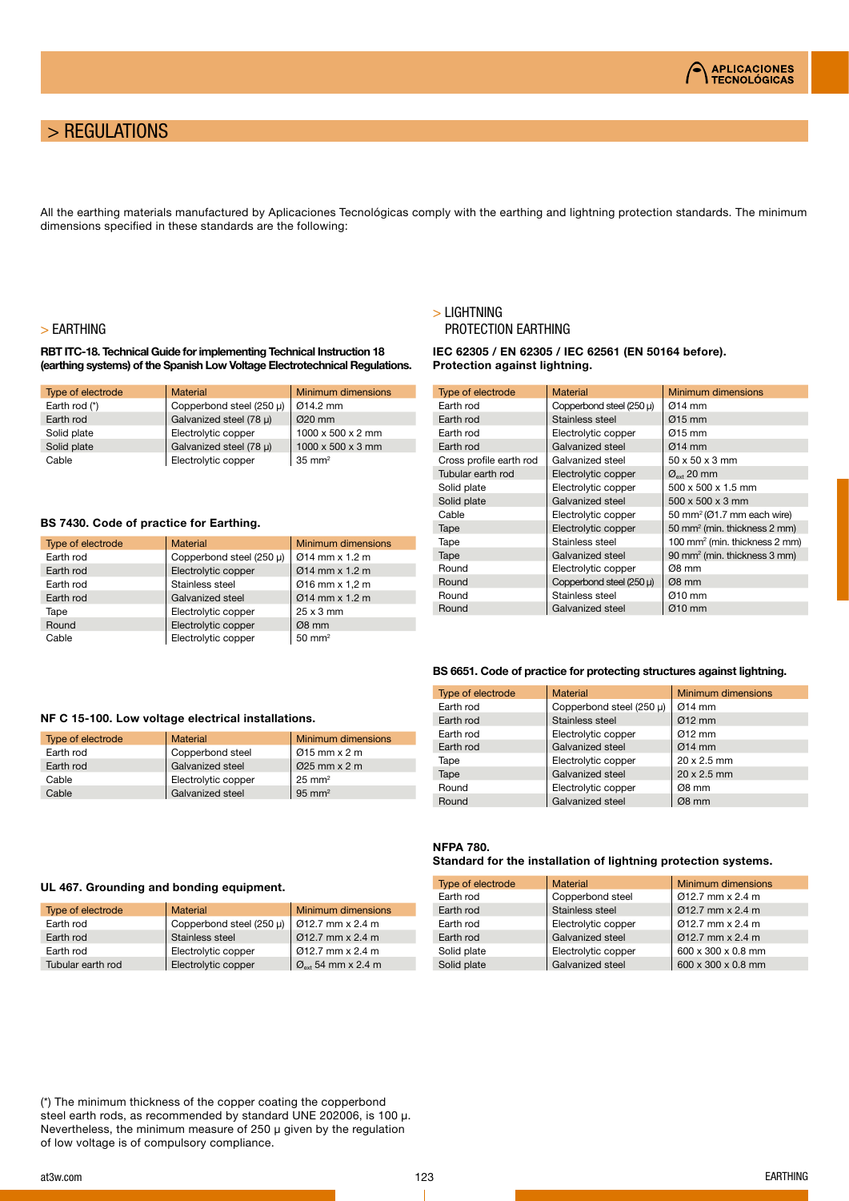

## > REGULATIONS

All the earthing materials manufactured by Aplicaciones Tecnológicas comply with the earthing and lightning protection standards. The minimum dimensions specified in these standards are the following:

#### > EARTHING

#### RBT ITC-18. Technical Guide for implementing Technical Instruction 18 (earthing systems) of the Spanish Low Voltage Electrotechnical Regulations.

| Type of electrode | <b>Material</b>          | Minimum dimensions            |
|-------------------|--------------------------|-------------------------------|
| Earth rod (*)     | Copperbond steel (250 µ) | Ø14.2 mm                      |
| Earth rod         | Galvanized steel (78 µ)  | $Q20$ mm                      |
| Solid plate       | Electrolytic copper      | $1000 \times 500 \times 2$ mm |
| Solid plate       | Galvanized steel (78 µ)  | $1000 \times 500 \times 3$ mm |
| Cable             | Electrolytic copper      | $35 \text{ mm}^2$             |

#### BS 7430. Code of practice for Earthing.

| Type of electrode | <b>Material</b>          | Minimum dimensions      |
|-------------------|--------------------------|-------------------------|
| Earth rod         | Copperbond steel (250 µ) | $Ø14$ mm $x$ 1.2 m      |
| Earth rod         | Electrolytic copper      | $Ø14$ mm $\times$ 1.2 m |
| Earth rod         | Stainless steel          | Ø16 mm x 1.2 m          |
| Earth rod         | Galvanized steel         | $Ø14$ mm $\times$ 1.2 m |
| Tape              | Electrolytic copper      | $25 \times 3$ mm        |
| Round             | Electrolytic copper      | $Ø8$ mm                 |
| Cable             | Electrolytic copper      | $50 \text{ mm}^2$       |

Type of electrode Material Material Minimum dimensions Earth rod Copperbond steel Ø15 mm x 2 m<br>Earth rod Galvanized steel Ø25 mm x 2 m

#### > LIGHTNING PROTECTION EARTHING

IEC 62305 / EN 62305 / IEC 62561 (EN 50164 before). Protection against lightning.

| <b>Type of electrode</b> | <b>Material</b>          | <b>Minimum dimensions</b>                              |
|--------------------------|--------------------------|--------------------------------------------------------|
| Earth rod                | Copperbond steel (250 µ) | Ø14 mm                                                 |
| Earth rod                | Stainless steel          | $\varnothing$ 15 mm                                    |
| Earth rod                | Electrolytic copper      | Ø15 mm                                                 |
| Earth rod                | Galvanized steel         | $Ø14$ mm                                               |
| Cross profile earth rod  | Galvanized steel         | $50 \times 50 \times 3$ mm                             |
| Tubular earth rod        | Electrolytic copper      | $\varnothing_{\scriptscriptstyle{\mathsf{ext}}}$ 20 mm |
| Solid plate              | Electrolytic copper      | $500 \times 500 \times 1.5$ mm                         |
| Solid plate              | Galvanized steel         | $500 \times 500 \times 3$ mm                           |
| Cable                    | Electrolytic copper      | 50 mm <sup>2</sup> ( $Q$ 1.7 mm each wire)             |
| Tape                     | Electrolytic copper      | 50 mm <sup>2</sup> (min. thickness 2 mm)               |
| Tape                     | Stainless steel          | 100 mm <sup>2</sup> (min. thickness 2 mm)              |
| Tape                     | Galvanized steel         | 90 mm <sup>2</sup> (min. thickness 3 mm)               |
| Round                    | Electrolytic copper      | Ø8 mm                                                  |
| Round                    | Copperbond steel (250 µ) | $Ø8$ mm                                                |
| Round                    | Stainless steel          | Ø10 mm                                                 |
| Round                    | Galvanized steel         | $Ø10$ mm                                               |

#### BS 6651. Code of practice for protecting structures against lightning.

| Type of electrode | <b>Material</b>          | Minimum dimensions |
|-------------------|--------------------------|--------------------|
| Earth rod         | Copperbond steel (250 µ) | $Ø14$ mm           |
| Earth rod         | Stainless steel          | $Ø12$ mm           |
| Earth rod         | Electrolytic copper      | $Q12$ mm           |
| Earth rod         | Galvanized steel         | $Ø14$ mm           |
| Tape              | Electrolytic copper      | 20 x 2.5 mm        |
| Tape              | Galvanized steel         | $20 \times 2.5$ mm |
| Round             | Electrolytic copper      | Ø8 mm              |
| Round             | Galvanized steel         | $Ø8$ mm            |

## NFPA 780.

#### Standard for the installation of lightning protection systems.

| Type of electrode | <b>Material</b>     | <b>Minimum dimensions</b> |
|-------------------|---------------------|---------------------------|
| Earth rod         | Copperbond steel    | Ø12.7 mm x 2.4 m          |
| Earth rod         | Stainless steel     | $Q12.7$ mm $\times$ 2.4 m |
| Earth rod         | Electrolytic copper | Ø12.7 mm x 2.4 m          |
| Earth rod         | Galvanized steel    | $Q12.7$ mm $\times$ 2.4 m |
| Solid plate       | Electrolytic copper | 600 x 300 x 0.8 mm        |
| Solid plate       | Galvanized steel    | 600 x 300 x 0.8 mm        |

#### UL 467. Grounding and bonding equipment.

Earth rod Galvanized steel

Cable Galvanized steel

NF C 15-100. Low voltage electrical installations.

Cable Electrolytic copper 25 mm<sup>2</sup><br>Cable Galvanized steel 95 mm<sup>2</sup>

| <b>Material</b>          | Minimum dimensions                         |
|--------------------------|--------------------------------------------|
| Copperbond steel (250 µ) | Ø12.7 mm x 2.4 m                           |
| Stainless steel          | $Q12.7$ mm $\times$ 2.4 m                  |
| Electrolytic copper      | $Q12.7$ mm $\times$ 2.4 m                  |
| Electrolytic copper      | $\varnothing$ <sub>ayt</sub> 54 mm x 2.4 m |
|                          |                                            |

(\*) The minimum thickness of the copper coating the copperbond steel earth rods, as recommended by standard UNE 202006, is 100 μ. Nevertheless, the minimum measure of 250 μ given by the regulation of low voltage is of compulsory compliance.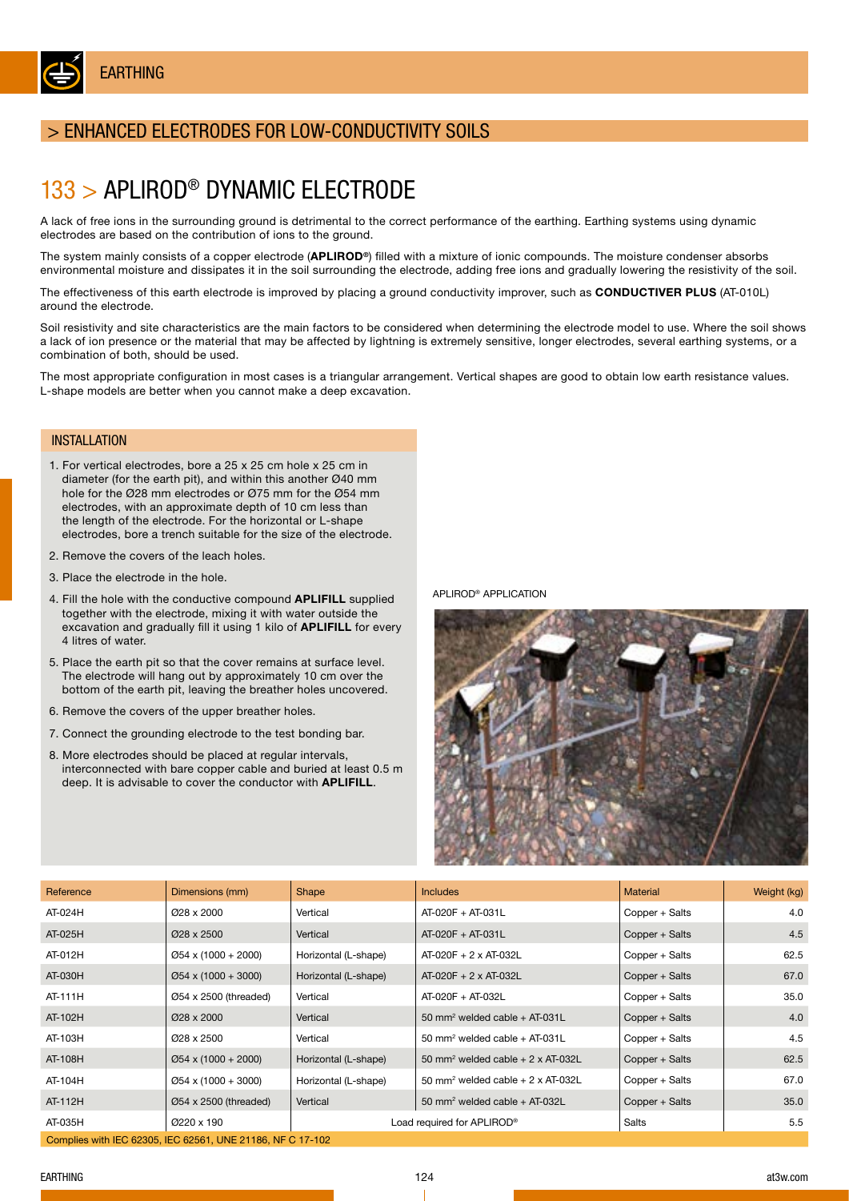

## > ENHANCED ELECTRODES FOR LOW-CONDUCTIVITY SOILS

## 133 > APLIROD® DYNAMIC ELECTRODE

A lack of free ions in the surrounding ground is detrimental to the correct performance of the earthing. Earthing systems using dynamic electrodes are based on the contribution of ions to the ground.

The system mainly consists of a copper electrode (APLIROD<sup>®</sup>) filled with a mixture of ionic compounds. The moisture condenser absorbs environmental moisture and dissipates it in the soil surrounding the electrode, adding free ions and gradually lowering the resistivity of the soil.

The effectiveness of this earth electrode is improved by placing a ground conductivity improver, such as CONDUCTIVER PLUS (AT-010L) around the electrode.

Soil resistivity and site characteristics are the main factors to be considered when determining the electrode model to use. Where the soil shows a lack of ion presence or the material that may be affected by lightning is extremely sensitive, longer electrodes, several earthing systems, or a combination of both, should be used.

The most appropriate configuration in most cases is a triangular arrangement. Vertical shapes are good to obtain low earth resistance values. L-shape models are better when you cannot make a deep excavation.

#### **INSTALLATION**

- 1. For vertical electrodes, bore a 25 x 25 cm hole x 25 cm in diameter (for the earth pit), and within this another Ø40 mm hole for the Ø28 mm electrodes or Ø75 mm for the Ø54 mm electrodes, with an approximate depth of 10 cm less than the length of the electrode. For the horizontal or L-shape electrodes, bore a trench suitable for the size of the electrode.
- 2. Remove the covers of the leach holes.
- 3. Place the electrode in the hole.
- 4. Fill the hole with the conductive compound APLIFILL supplied together with the electrode, mixing it with water outside the excavation and gradually fill it using 1 kilo of **APLIFILL** for every 4 litres of water.
- 5. Place the earth pit so that the cover remains at surface level. The electrode will hang out by approximately 10 cm over the bottom of the earth pit, leaving the breather holes uncovered.
- 6. Remove the covers of the upper breather holes.
- 7. Connect the grounding electrode to the test bonding bar.
- 8. More electrodes should be placed at regular intervals, interconnected with bare copper cable and buried at least 0.5 m deep. It is advisable to cover the conductor with APLIFILL.

APLIROD® APPLICATION



| Reference | Dimensions (mm)                                            | Shape                | <b>Includes</b>                                      | <b>Material</b> | Weight (kg) |
|-----------|------------------------------------------------------------|----------------------|------------------------------------------------------|-----------------|-------------|
| AT-024H   | Ø28 x 2000                                                 | Vertical             | AT-020F + AT-031L                                    | Copper + Salts  | 4.0         |
| AT-025H   | $\varnothing$ 28 x 2500                                    | Vertical             | AT-020F + AT-031L                                    | Copper + Salts  | 4.5         |
| AT-012H   | $\varnothing$ 54 x (1000 + 2000)                           | Horizontal (L-shape) | $AT-020F + 2 \times AT-032L$                         | Copper + Salts  | 62.5        |
| AT-030H   | $\varnothing$ 54 x (1000 + 3000)                           | Horizontal (L-shape) | $AT-020F + 2 \times AT-032L$                         | Copper + Salts  | 67.0        |
| AT-111H   | $\varnothing$ 54 x 2500 (threaded)                         | Vertical             | AT-020F + AT-032L                                    | Copper + Salts  | 35.0        |
| AT-102H   | Ø28 x 2000                                                 | Vertical             | 50 mm <sup>2</sup> welded cable + AT-031L            | Copper + Salts  | 4.0         |
| AT-103H   | Ø28 x 2500                                                 | Vertical             | 50 mm <sup>2</sup> welded cable $+$ AT-031L          | Copper + Salts  | 4.5         |
| AT-108H   | $\varnothing$ 54 x (1000 + 2000)                           | Horizontal (L-shape) | 50 mm <sup>2</sup> welded cable $+ 2 \times AT-032L$ | Copper + Salts  | 62.5        |
| AT-104H   | $\varnothing$ 54 x (1000 + 3000)                           | Horizontal (L-shape) | 50 mm <sup>2</sup> welded cable $+ 2 \times AT-032L$ | Copper + Salts  | 67.0        |
| AT-112H   | $\varnothing$ 54 x 2500 (threaded)                         | Vertical             | 50 mm <sup>2</sup> welded cable + AT-032L            | Copper + Salts  | 35.0        |
| AT-035H   | Ø220 x 190                                                 |                      | Load required for APLIROD®                           | Salts           | 5.5         |
|           | Complies with IEC 62305, IEC 62561, UNE 21186, NF C 17-102 |                      |                                                      |                 |             |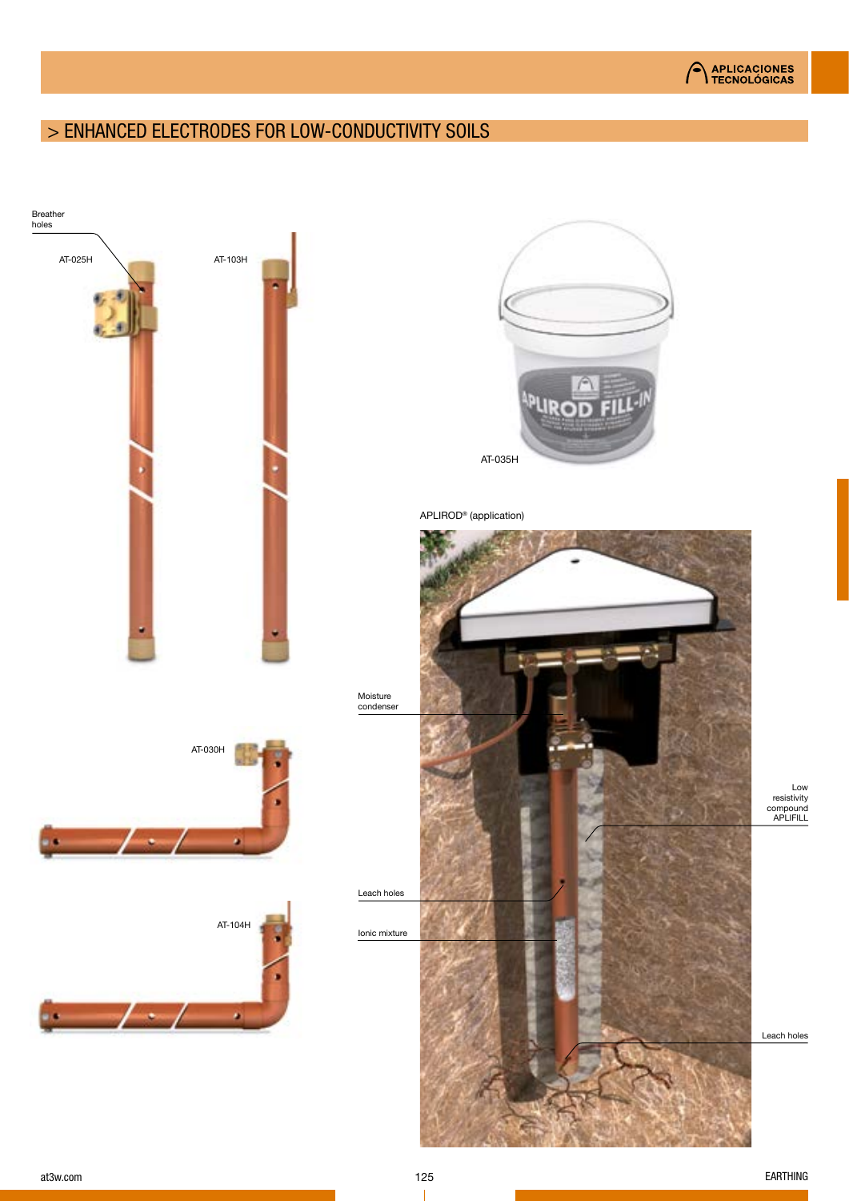## > ENHANCED ELECTRODES FOR LOW-CONDUCTIVITY SOILS

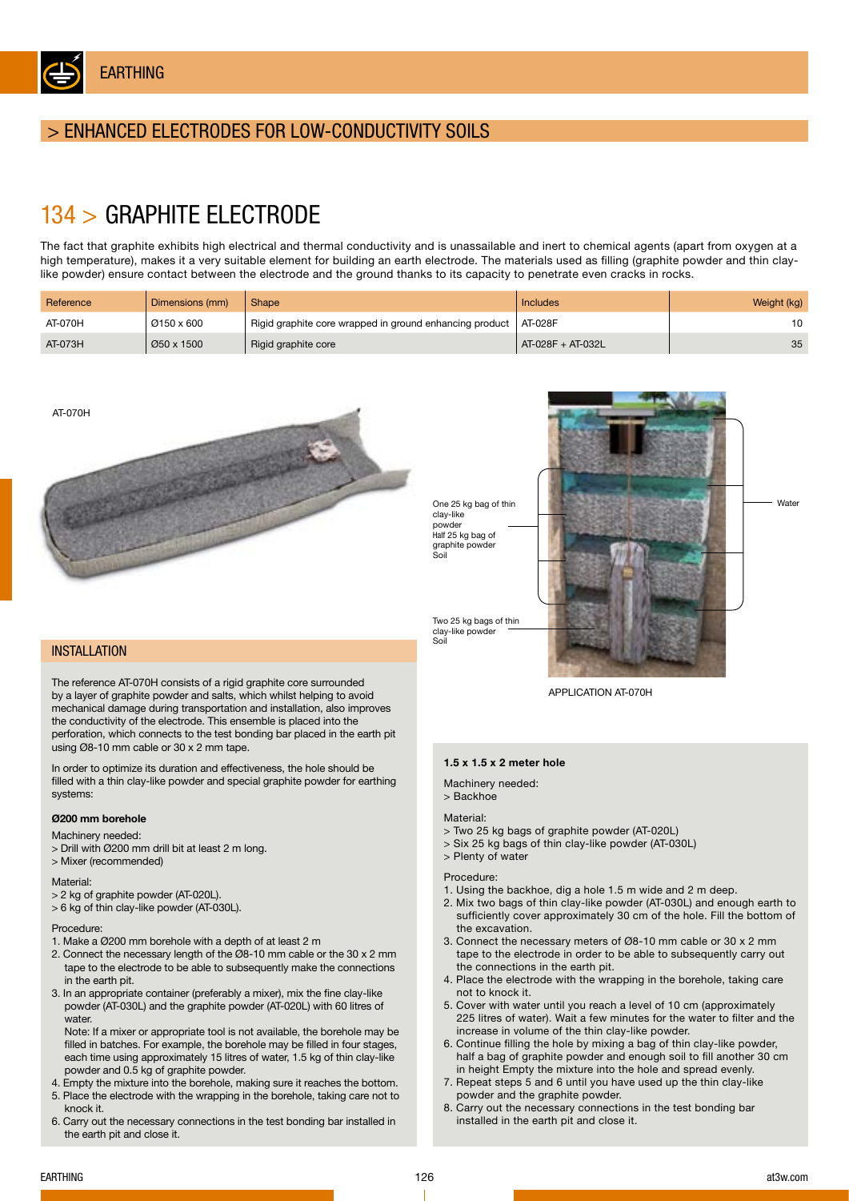

## > ENHANCED ELECTRODES FOR LOW-CONDUCTIVITY SOILS

# 134 > GRAPHITE ELECTRODE

The fact that graphite exhibits high electrical and thermal conductivity and is unassailable and inert to chemical agents (apart from oxygen at a high temperature), makes it a very suitable element for building an earth electrode. The materials used as filling (graphite powder and thin claylike powder) ensure contact between the electrode and the ground thanks to its capacity to penetrate even cracks in rocks.

| Reference | Dimensions (mm) | Shape                                                   | Includes            | Weight (kg) |
|-----------|-----------------|---------------------------------------------------------|---------------------|-------------|
| AT-070H   | Ø150 x 600      | Rigid graphite core wrapped in ground enhancing product | AT-028F             |             |
| AT-073H   | Ø50 x 1500      | Rigid graphite core                                     | $AT-028F + AT-032L$ | 35          |



**INSTALLATION** 

The reference AT-070H consists of a rigid graphite core surrounded by a layer of graphite powder and salts, which whilst helping to avoid mechanical damage during transportation and installation, also improves the conductivity of the electrode. This ensemble is placed into the perforation, which connects to the test bonding bar placed in the earth pit using Ø8-10 mm cable or 30 x 2 mm tape.

In order to optimize its duration and effectiveness, the hole should be filled with a thin clay-like powder and special graphite powder for earthing systems:

#### Ø200 mm borehole

Machinery needed:

- > Drill with Ø200 mm drill bit at least 2 m long.
- > Mixer (recommended)

#### Material:

- > 2 kg of graphite powder (AT-020L).
- > 6 kg of thin clay-like powder (AT-030L).

#### Procedure:

- 1. Make a Ø200 mm borehole with a depth of at least 2 m
- 2. Connect the necessary length of the Ø8-10 mm cable or the 30 x 2 mm tape to the electrode to be able to subsequently make the connections in the earth pit.
- 3. In an appropriate container (preferably a mixer), mix the fine clay-like powder (AT-030L) and the graphite powder (AT-020L) with 60 litres of water

Note: If a mixer or appropriate tool is not available, the borehole may be filled in batches. For example, the borehole may be filled in four stages, each time using approximately 15 litres of water, 1.5 kg of thin clay-like powder and 0.5 kg of graphite powder.

- 4. Empty the mixture into the borehole, making sure it reaches the bottom. 5. Place the electrode with the wrapping in the borehole, taking care not to
- knock it. 6. Carry out the necessary connections in the test bonding bar installed in the earth pit and close it.



APPLICATION AT-070H

#### 1.5 x 1.5 x 2 meter hole

Machinery needed:

#### > Backhoe

#### Material:

Soil

- > Two 25 kg bags of graphite powder (AT-020L)
- > Six 25 kg bags of thin clay-like powder (AT-030L)
- > Plenty of water

#### Procedure:

- 1. Using the backhoe, dig a hole 1.5 m wide and 2 m deep.
- 2. Mix two bags of thin clay-like powder (AT-030L) and enough earth to sufficiently cover approximately 30 cm of the hole. Fill the bottom of the excavation.
- 3. Connect the necessary meters of Ø8-10 mm cable or 30 x 2 mm tape to the electrode in order to be able to subsequently carry out the connections in the earth pit.
- 4. Place the electrode with the wrapping in the borehole, taking care not to knock it.
- 5. Cover with water until you reach a level of 10 cm (approximately 225 litres of water). Wait a few minutes for the water to filter and the increase in volume of the thin clay-like powder.
- 6. Continue filling the hole by mixing a bag of thin clay-like powder, half a bag of graphite powder and enough soil to fill another 30 cm in height Empty the mixture into the hole and spread evenly.
- 7. Repeat steps 5 and 6 until you have used up the thin clay-like powder and the graphite powder.
- 8. Carry out the necessary connections in the test bonding bar installed in the earth pit and close it.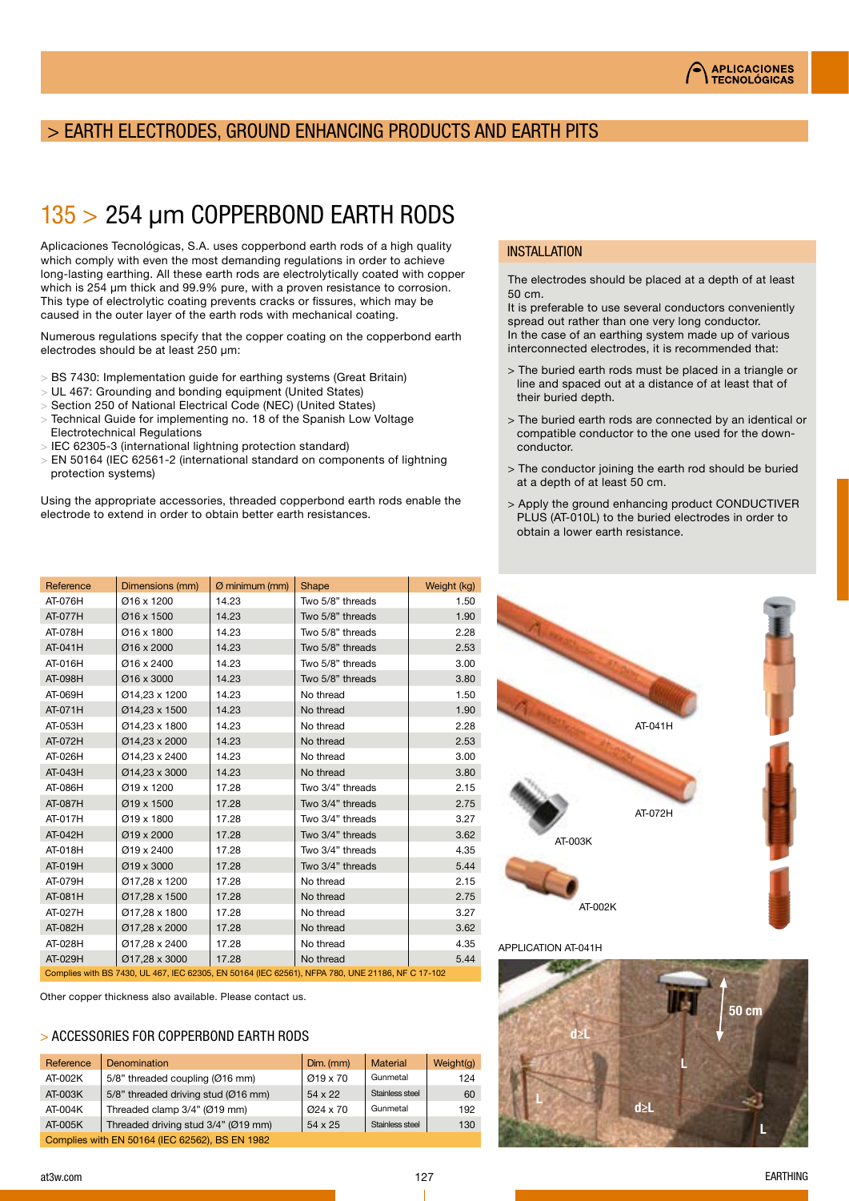## > EARTH ELECTRODES, GROUND ENHANCING PRODUCTS AND EARTH PITS

# 135 > 254 μm COPPERBOND EARTH RODS

Aplicaciones Tecnológicas, S.A. uses copperbond earth rods of a high quality which comply with even the most demanding regulations in order to achieve long-lasting earthing. All these earth rods are electrolytically coated with copper which is 254 μm thick and 99.9% pure, with a proven resistance to corrosion. This type of electrolytic coating prevents cracks or fissures, which may be caused in the outer layer of the earth rods with mechanical coating.

Numerous regulations specify that the copper coating on the copperbond earth electrodes should be at least 250 μm:

- > BS 7430: Implementation guide for earthing systems (Great Britain)
- > UL 467: Grounding and bonding equipment (United States)
- > Section 250 of National Electrical Code (NEC) (United States)
- > Technical Guide for implementing no. 18 of the Spanish Low Voltage Electrotechnical Regulations
- > IEC 62305-3 (international lightning protection standard)
- > EN 50164 (IEC 62561-2 (international standard on components of lightning protection systems)

Using the appropriate accessories, threaded copperbond earth rods enable the electrode to extend in order to obtain better earth resistances.

| Reference | Dimensions (mm) | $\emptyset$ minimum (mm) | Shape                                                                                            | Weight (kg) |
|-----------|-----------------|--------------------------|--------------------------------------------------------------------------------------------------|-------------|
| AT-076H   | Ø16 x 1200      | 14.23                    | Two 5/8" threads                                                                                 | 1.50        |
| AT-077H   | Ø16 x 1500      | 14.23                    | Two 5/8" threads                                                                                 | 1.90        |
| AT-078H   | Ø16 x 1800      | 14.23                    | Two 5/8" threads                                                                                 | 2.28        |
| AT-041H   | Ø16 x 2000      | 14.23                    | Two 5/8" threads                                                                                 | 2.53        |
| AT-016H   | Ø16 x 2400      | 14.23                    | Two 5/8" threads                                                                                 | 3.00        |
| AT-098H   | Ø16 x 3000      | 14.23                    | Two 5/8" threads                                                                                 | 3.80        |
| AT-069H   | Ø14,23 x 1200   | 14.23                    | No thread                                                                                        | 1.50        |
| AT-071H   | Ø14.23 x 1500   | 14.23                    | No thread                                                                                        | 1.90        |
| AT-053H   | Ø14,23 x 1800   | 14.23                    | No thread                                                                                        | 2.28        |
| AT-072H   | Ø14,23 x 2000   | 14.23                    | No thread                                                                                        | 2.53        |
| AT-026H   | Ø14,23 x 2400   | 14.23                    | No thread                                                                                        | 3.00        |
| AT-043H   | Ø14,23 x 3000   | 14.23                    | No thread                                                                                        | 3.80        |
| AT-086H   | Ø19 x 1200      | 17.28                    | Two 3/4" threads                                                                                 | 2.15        |
| AT-087H   | Ø19 x 1500      | 17.28                    | Two 3/4" threads                                                                                 | 2.75        |
| AT-017H   | Ø19 x 1800      | 17.28                    | Two 3/4" threads                                                                                 | 3.27        |
| AT-042H   | Ø19 x 2000      | 17.28                    | Two 3/4" threads                                                                                 | 3.62        |
| AT-018H   | Ø19 x 2400      | 17.28                    | Two 3/4" threads                                                                                 | 4.35        |
| AT-019H   | Ø19 x 3000      | 17.28                    | Two 3/4" threads                                                                                 | 5.44        |
| AT-079H   | Ø17,28 x 1200   | 17.28                    | No thread                                                                                        | 2.15        |
| AT-081H   | Ø17,28 x 1500   | 17.28                    | No thread                                                                                        | 2.75        |
| AT-027H   | Ø17,28 x 1800   | 17.28                    | No thread                                                                                        | 3.27        |
| AT-082H   | Ø17,28 x 2000   | 17.28                    | No thread                                                                                        | 3.62        |
| AT-028H   | Ø17,28 x 2400   | 17.28                    | No thread                                                                                        | 4.35        |
| AT-029H   | Ø17,28 x 3000   | 17.28                    | No thread                                                                                        | 5.44        |
|           |                 |                          | Complies with BS 7430, UL 467, IEC 62305, EN 50164 (IEC 62561), NFPA 780, UNE 21186, NF C 17-102 |             |

Other copper thickness also available. Please contact us.

#### > ACCESSORIES FOR COPPERBOND EARTH RODS

| Reference | <b>Denomination</b>                            | $Dim.$ (mm) | <b>Material</b> | Weight(g) |
|-----------|------------------------------------------------|-------------|-----------------|-----------|
| AT-002K   | 5/8" threaded coupling (Ø16 mm)                | Ø19 x 70    | Gunmetal        | 124       |
| AT-003K   | 5/8" threaded driving stud (Ø16 mm)            | 54 x 22     | Stainless steel | 60        |
| $AT-004K$ | Threaded clamp 3/4" (Ø19 mm)                   | $Q$ 24 x 70 | Gunmetal        | 192       |
| AT-005K   | Threaded driving stud 3/4" (Ø19 mm)            | 54 x 25     | Stainless steel | 130       |
|           | Complies with EN 50164 (IEC 62562), BS EN 1982 |             |                 |           |

#### **INSTALLATION**

The electrodes should be placed at a depth of at least 50 cm.

It is preferable to use several conductors conveniently spread out rather than one very long conductor. In the case of an earthing system made up of various interconnected electrodes, it is recommended that:

- > The buried earth rods must be placed in a triangle or line and spaced out at a distance of at least that of their buried depth.
- > The buried earth rods are connected by an identical or compatible conductor to the one used for the downconductor.
- > The conductor joining the earth rod should be buried at a depth of at least 50 cm.
- > Apply the ground enhancing product CONDUCTIVER PLUS (AT-010L) to the buried electrodes in order to obtain a lower earth resistance.



APPLICATION AT-041H

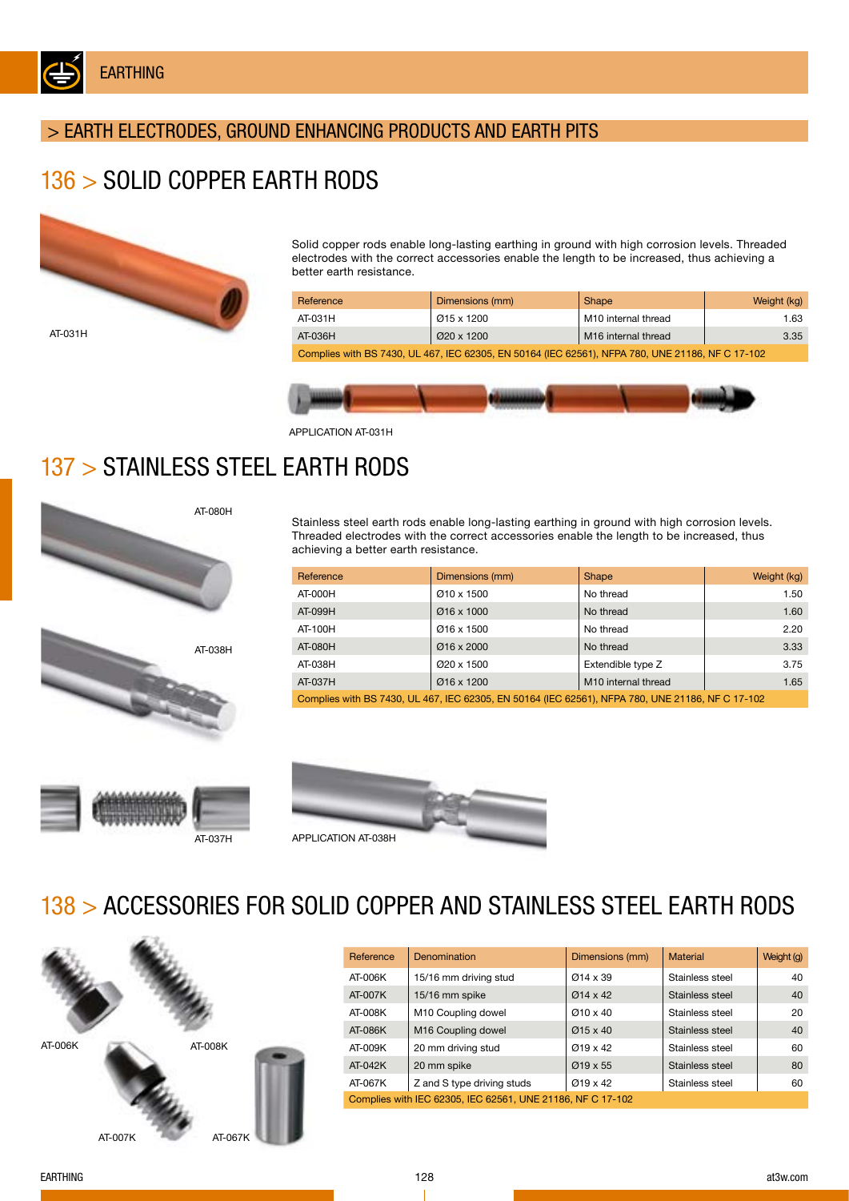

## > EARTH ELECTRODES, GROUND ENHANCING PRODUCTS AND EARTH PITS

## 136 > SOLID COPPER EARTH RODS



Solid copper rods enable long-lasting earthing in ground with high corrosion levels. Threaded electrodes with the correct accessories enable the length to be increased, thus achieving a better earth resistance.

| Reference                                                                                        | Dimensions (mm) | Shape                           | Weight (kg) |  |
|--------------------------------------------------------------------------------------------------|-----------------|---------------------------------|-------------|--|
| AT-031H                                                                                          | Ø15 x 1200      | M10 internal thread             | 1.63        |  |
| AT-036H                                                                                          | Ø20 x 1200      | M <sub>16</sub> internal thread | 3.35        |  |
| Complies with BS 7430, UL 467, IEC 62305, EN 50164 (IEC 62561), NFPA 780, UNE 21186, NF C 17-102 |                 |                                 |             |  |

APPLICATION AT-031H

## 137 > STAINLESS STEEL EARTH RODS



Stainless steel earth rods enable long-lasting earthing in ground with high corrosion levels. Threaded electrodes with the correct accessories enable the length to be increased, thus achieving a better earth resistance.

| Reference                                                                                        | Dimensions (mm) | Shape                           | Weight (kg) |  |
|--------------------------------------------------------------------------------------------------|-----------------|---------------------------------|-------------|--|
| AT-000H                                                                                          | Ø10 x 1500      | No thread                       | 1.50        |  |
| AT-099H                                                                                          | Ø16 x 1000      | No thread                       | 1.60        |  |
| AT-100H                                                                                          | Ø16 x 1500      | No thread                       | 2.20        |  |
| AT-080H                                                                                          | Ø16 x 2000      | No thread                       | 3.33        |  |
| AT-038H                                                                                          | Ø20 x 1500      | Extendible type Z               | 3.75        |  |
| AT-037H                                                                                          | $Q$ 16 x 1200   | M <sub>10</sub> internal thread | 1.65        |  |
| Complies with BS 7430, UL 467, IEC 62305, EN 50164 (IEC 62561), NFPA 780, UNE 21186, NF C 17-102 |                 |                                 |             |  |





## 138 > ACCESSORIES FOR SOLID COPPER AND STAINLESS STEEL EARTH RODS



| Reference                                                  | <b>Denomination</b>            | Dimensions (mm)       | Material        | Weight (g) |
|------------------------------------------------------------|--------------------------------|-----------------------|-----------------|------------|
| AT-006K                                                    | 15/16 mm driving stud          | $Ø14 \times 39$       | Stainless steel | 40         |
| AT-007K                                                    | 15/16 mm spike                 | $Ø14 \times 42$       | Stainless steel | 40         |
| AT-008K                                                    | M <sub>10</sub> Coupling dowel | $Ø10 \times 40$       | Stainless steel | 20         |
| AT-086K                                                    | M <sub>16</sub> Coupling dowel | $\varnothing$ 15 x 40 | Stainless steel | 40         |
| AT-009K                                                    | 20 mm driving stud             | $Q$ 19 x 42           | Stainless steel | 60         |
| AT-042K                                                    | 20 mm spike                    | $\varnothing$ 19 x 55 | Stainless steel | 80         |
| AT-067K                                                    | Z and S type driving studs     | $\varnothing$ 19 x 42 | Stainless steel | 60         |
| Complies with IEC 62305, IEC 62561, UNE 21186, NF C 17-102 |                                |                       |                 |            |

EARTHING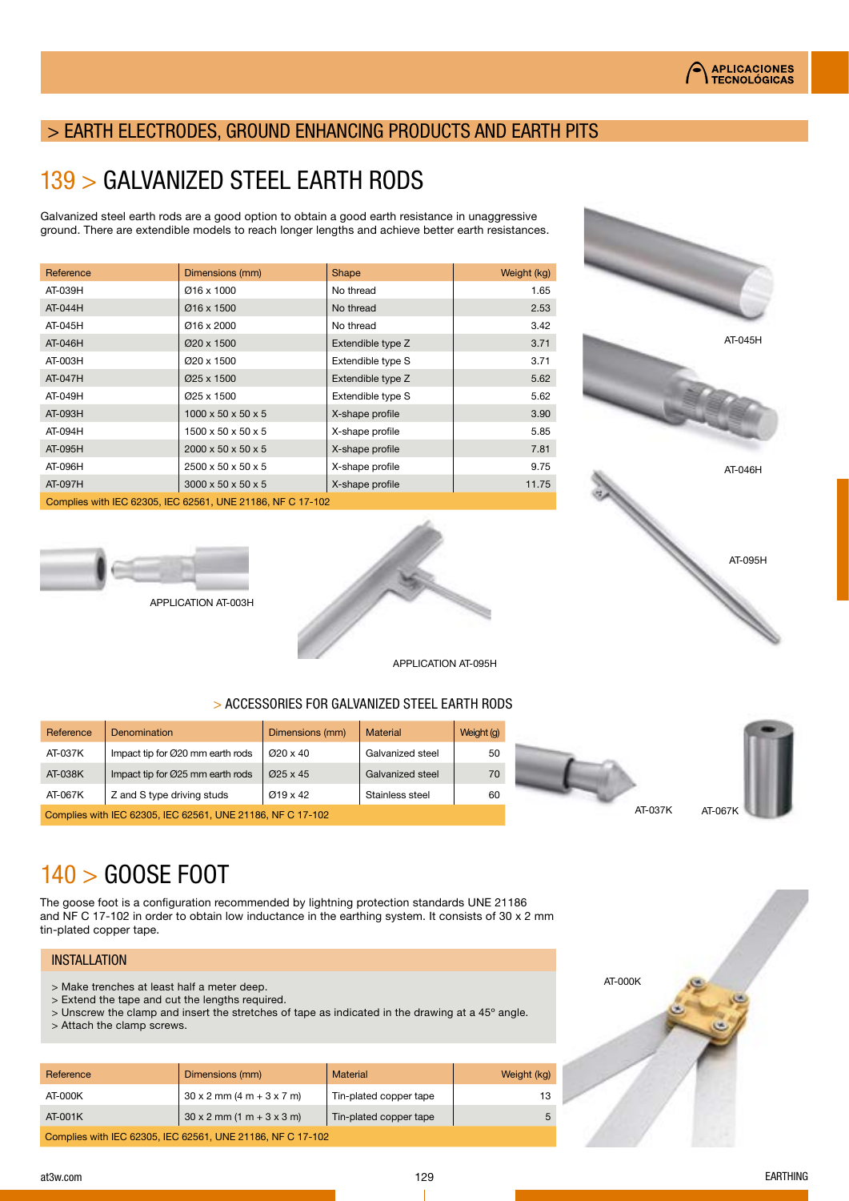AT-045H

AT-046H

AT-095H

## > EARTH ELECTRODES, GROUND ENHANCING PRODUCTS AND EARTH PITS

## 139 > GALVANIZED STEEL EARTH RODS

Galvanized steel earth rods are a good option to obtain a good earth resistance in unaggressive ground. There are extendible models to reach longer lengths and achieve better earth resistances.

| Dimensions (mm)                     | Shape             | Weight (kg) |
|-------------------------------------|-------------------|-------------|
| $Ø16 \times 1000$                   | No thread         | 1.65        |
| Ø16 x 1500                          | No thread         | 2.53        |
| Ø16 x 2000                          | No thread         | 3.42        |
| Ø20 x 1500                          | Extendible type Z | 3.71        |
| Ø20 x 1500                          | Extendible type S | 3.71        |
| Ø25 x 1500                          | Extendible type Z | 5.62        |
| Ø25 x 1500                          | Extendible type S | 5.62        |
| $1000 \times 50 \times 50 \times 5$ | X-shape profile   | 3.90        |
| $1500 \times 50 \times 50 \times 5$ | X-shape profile   | 5.85        |
| $2000 \times 50 \times 50 \times 5$ | X-shape profile   | 7.81        |
| $2500 \times 50 \times 50 \times 5$ | X-shape profile   | 9.75        |
| $3000 \times 50 \times 50 \times 5$ | X-shape profile   | 11.75       |
|                                     |                   |             |

Complies with IEC 62305, IEC 62561, UNE 21186, NF C 17-102



APPLICATION AT-003H



#### > ACCESSORIES FOR GALVANIZED STEEL EARTH RODS

| Reference                                                  | Denomination                     | Dimensions (mm)       | <b>Material</b>  | Weight (g) |
|------------------------------------------------------------|----------------------------------|-----------------------|------------------|------------|
| AT-037K                                                    | Impact tip for Ø20 mm earth rods | $Q$ 20 x 40           | Galvanized steel | 50         |
| AT-038K                                                    | Impact tip for Ø25 mm earth rods | $\varnothing$ 25 x 45 | Galvanized steel | 70         |
| AT-067K                                                    | Z and S type driving studs       | $\varnothing$ 19 x 42 | Stainless steel  | 60         |
| Complies with IEC 62305, IEC 62561, UNE 21186, NF C 17-102 |                                  |                       |                  |            |



# 140 > GOOSE FOOT

The goose foot is a configuration recommended by lightning protection standards UNE 21186 and NF C 17-102 in order to obtain low inductance in the earthing system. It consists of 30 x 2 mm tin-plated copper tape.

#### INSTALLATION

- > Make trenches at least half a meter deep.
- > Extend the tape and cut the lengths required.
- > Unscrew the clamp and insert the stretches of tape as indicated in the drawing at a 45º angle.
- > Attach the clamp screws.

| Reference                                                  | Dimensions (mm)                    | <b>Material</b>        | Weight (kg) |  |
|------------------------------------------------------------|------------------------------------|------------------------|-------------|--|
| AT-000K                                                    | $30 \times 2$ mm $(4 m + 3 x 7 m)$ | Tin-plated copper tape |             |  |
| AT-001K                                                    | $30 \times 2$ mm $(1 m + 3 x 3 m)$ | Tin-plated copper tape |             |  |
| Complies with IEC 62305, IEC 62561, UNE 21186, NF C 17-102 |                                    |                        |             |  |

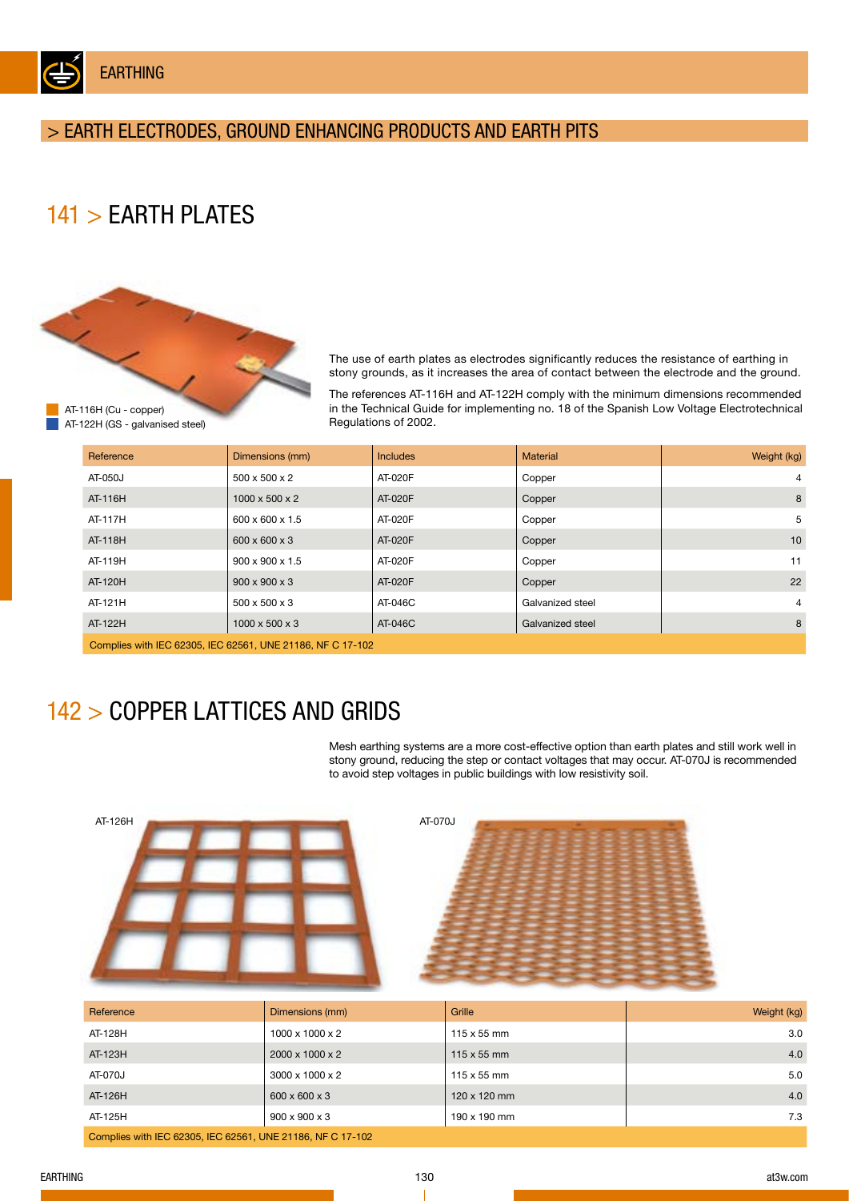EARTHING

## > EARTH ELECTRODES, GROUND ENHANCING PRODUCTS AND EARTH PITS

# 141 > EARTH PLATES



The use of earth plates as electrodes significantly reduces the resistance of earthing in stony grounds, as it increases the area of contact between the electrode and the ground.

The references AT-116H and AT-122H comply with the minimum dimensions recommended in the Technical Guide for implementing no. 18 of the Spanish Low Voltage Electrotechnical Regulations of 2002.

| Reference                                                  | Dimensions (mm)            | <b>Includes</b> | <b>Material</b>  | Weight (kg)    |  |
|------------------------------------------------------------|----------------------------|-----------------|------------------|----------------|--|
| AT-050J                                                    | $500 \times 500 \times 2$  | AT-020F         | Copper           | $\overline{4}$ |  |
| AT-116H                                                    | 1000 x 500 x 2             | AT-020F         | Copper           | 8              |  |
| AT-117H                                                    | 600 x 600 x 1.5            | AT-020F         | Copper           | 5              |  |
| AT-118H                                                    | 600 x 600 x 3              | AT-020F         | Copper           | 10             |  |
| AT-119H                                                    | 900 x 900 x 1.5            | AT-020F         | Copper           | 11             |  |
| AT-120H                                                    | $900 \times 900 \times 3$  | AT-020F         | Copper           | 22             |  |
| AT-121H                                                    | 500 x 500 x 3              | AT-046C         | Galvanized steel | $\overline{4}$ |  |
| AT-122H                                                    | $1000 \times 500 \times 3$ | AT-046C         | Galvanized steel | 8              |  |
| Complies with IEC 62305, IEC 62561, UNE 21186, NF C 17-102 |                            |                 |                  |                |  |

# 142 > COPPER LATTICES AND GRIDS

Mesh earthing systems are a more cost-effective option than earth plates and still work well in stony ground, reducing the step or contact voltages that may occur. AT-070J is recommended to avoid step voltages in public buildings with low resistivity soil.



| Reference                                                  | Dimensions (mm)             | Grille             | Weight (kg) |  |
|------------------------------------------------------------|-----------------------------|--------------------|-------------|--|
| AT-128H                                                    | $1000 \times 1000 \times 2$ | $115 \times 55$ mm | 3.0         |  |
| AT-123H                                                    | $2000 \times 1000 \times 2$ | $115 \times 55$ mm | 4.0         |  |
| AT-070J                                                    | $3000 \times 1000 \times 2$ | $115 \times 55$ mm | 5.0         |  |
| AT-126H                                                    | 600 x 600 x 3               | 120 x 120 mm       | 4.0         |  |
| AT-125H                                                    | $900 \times 900 \times 3$   | 190 x 190 mm       | 7.3         |  |
| Complies with IEC 62305, IEC 62561, UNE 21186, NF C 17-102 |                             |                    |             |  |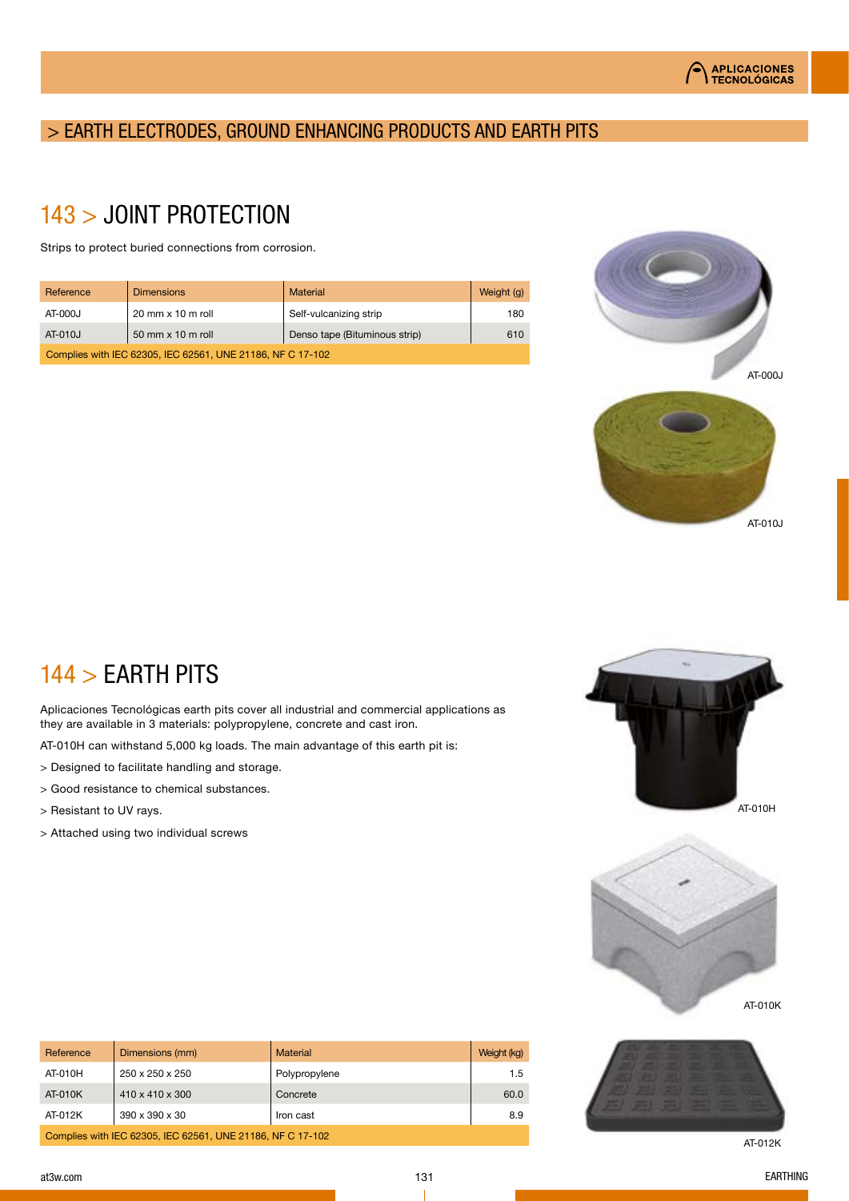## > EARTH ELECTRODES, GROUND ENHANCING PRODUCTS AND EARTH PITS

# 143 > JOINT PROTECTION

Strips to protect buried connections from corrosion.

| Reference                                                  | <b>Dimensions</b>          | Material                      | Weight (g) |
|------------------------------------------------------------|----------------------------|-------------------------------|------------|
| AT-000J                                                    | $20$ mm $\times$ 10 m roll | Self-vulcanizing strip        | 180        |
| AT-010J                                                    | 50 mm x 10 m roll          | Denso tape (Bituminous strip) | 610        |
| Complies with IEC 62305, IEC 62561, UNE 21186, NF C 17-102 |                            |                               |            |



# 144 > EARTH PITS

Aplicaciones Tecnológicas earth pits cover all industrial and commercial applications as they are available in 3 materials: polypropylene, concrete and cast iron.

AT-010H can withstand 5,000 kg loads. The main advantage of this earth pit is:

- > Designed to facilitate handling and storage.
- > Good resistance to chemical substances.
- > Resistant to UV rays.
- > Attached using two individual screws









AT-012K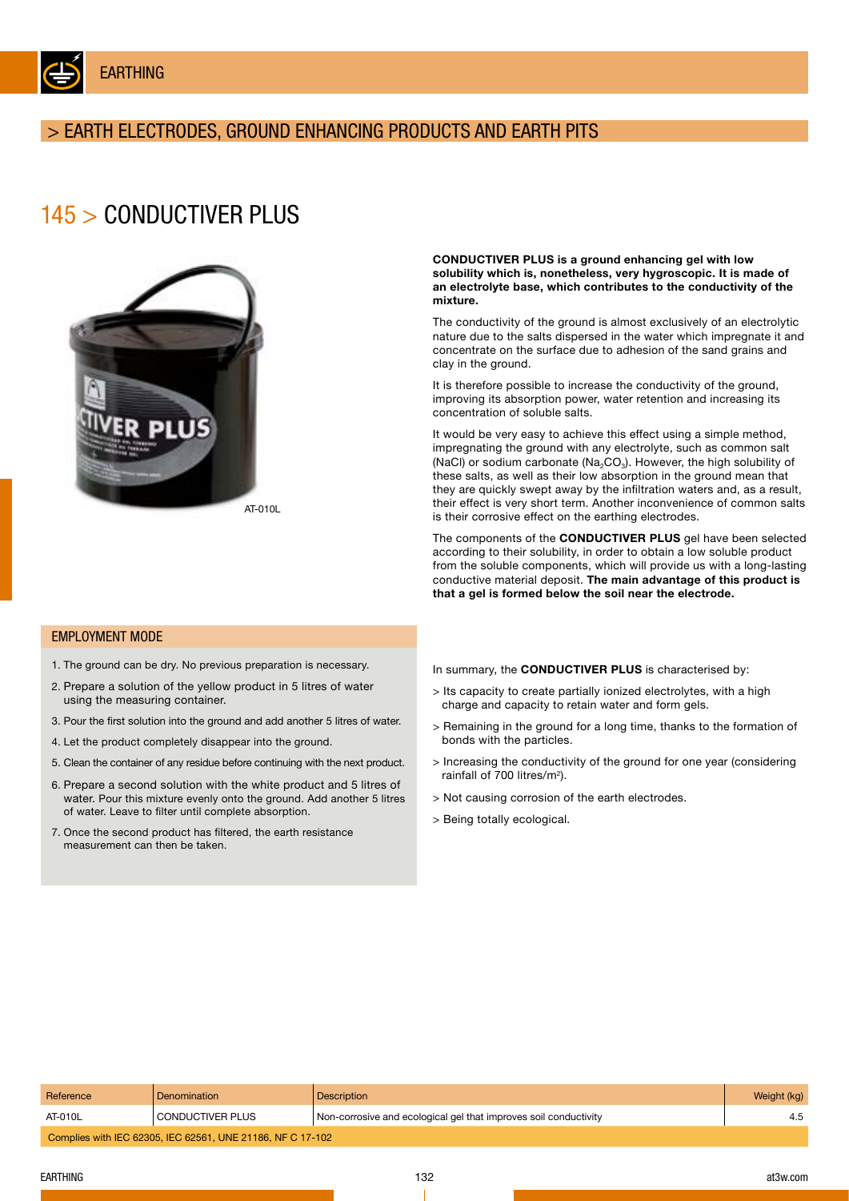

EARTHING

## > EARTH ELECTRODES, GROUND ENHANCING PRODUCTS AND EARTH PITS

## 145 > CONDUCTIVER PLUS



CONDUCTIVER PLUS is a ground enhancing gel with low solubility which is, nonetheless, very hygroscopic. It is made of an electrolyte base, which contributes to the conductivity of the mixture.

The conductivity of the ground is almost exclusively of an electrolytic nature due to the salts dispersed in the water which impregnate it and concentrate on the surface due to adhesion of the sand grains and clay in the ground.

It is therefore possible to increase the conductivity of the ground, improving its absorption power, water retention and increasing its concentration of soluble salts.

It would be very easy to achieve this effect using a simple method, impregnating the ground with any electrolyte, such as common salt (NaCl) or sodium carbonate (Na<sub>2</sub>CO<sub>3</sub>). However, the high solubility of these salts, as well as their low absorption in the ground mean that they are quickly swept away by the infiltration waters and, as a result, their effect is very short term. Another inconvenience of common salts is their corrosive effect on the earthing electrodes.

The components of the CONDUCTIVER PLUS gel have been selected according to their solubility, in order to obtain a low soluble product from the soluble components, which will provide us with a long-lasting conductive material deposit. The main advantage of this product is that a gel is formed below the soil near the electrode.

#### EMPLOYMENT MODE

- 1. The ground can be dry. No previous preparation is necessary.
- 2. Prepare a solution of the yellow product in 5 litres of water using the measuring container.
- 3. Pour the first solution into the ground and add another 5 litres of water.
- 4. Let the product completely disappear into the ground.
- 5. Clean the container of any residue before continuing with the next product.
- 6. Prepare a second solution with the white product and 5 litres of water. Pour this mixture evenly onto the ground. Add another 5 litres of water. Leave to filter until complete absorption.
- 7. Once the second product has filtered, the earth resistance measurement can then be taken.

In summary, the CONDUCTIVER PLUS is characterised by:

- > Its capacity to create partially ionized electrolytes, with a high charge and capacity to retain water and form gels.
- > Remaining in the ground for a long time, thanks to the formation of bonds with the particles.
- > Increasing the conductivity of the ground for one year (considering rainfall of 700 litres/m2).
- > Not causing corrosion of the earth electrodes.
- > Being totally ecological.

| Reference                                                  | Denomination     | Description                                                      | Weight (kg) |  |
|------------------------------------------------------------|------------------|------------------------------------------------------------------|-------------|--|
| AT-010L                                                    | CONDUCTIVER PLUS | Non-corrosive and ecological gel that improves soil conductivity | 4.5         |  |
| Complies with IEC 62305, IEC 62561, UNE 21186, NF C 17-102 |                  |                                                                  |             |  |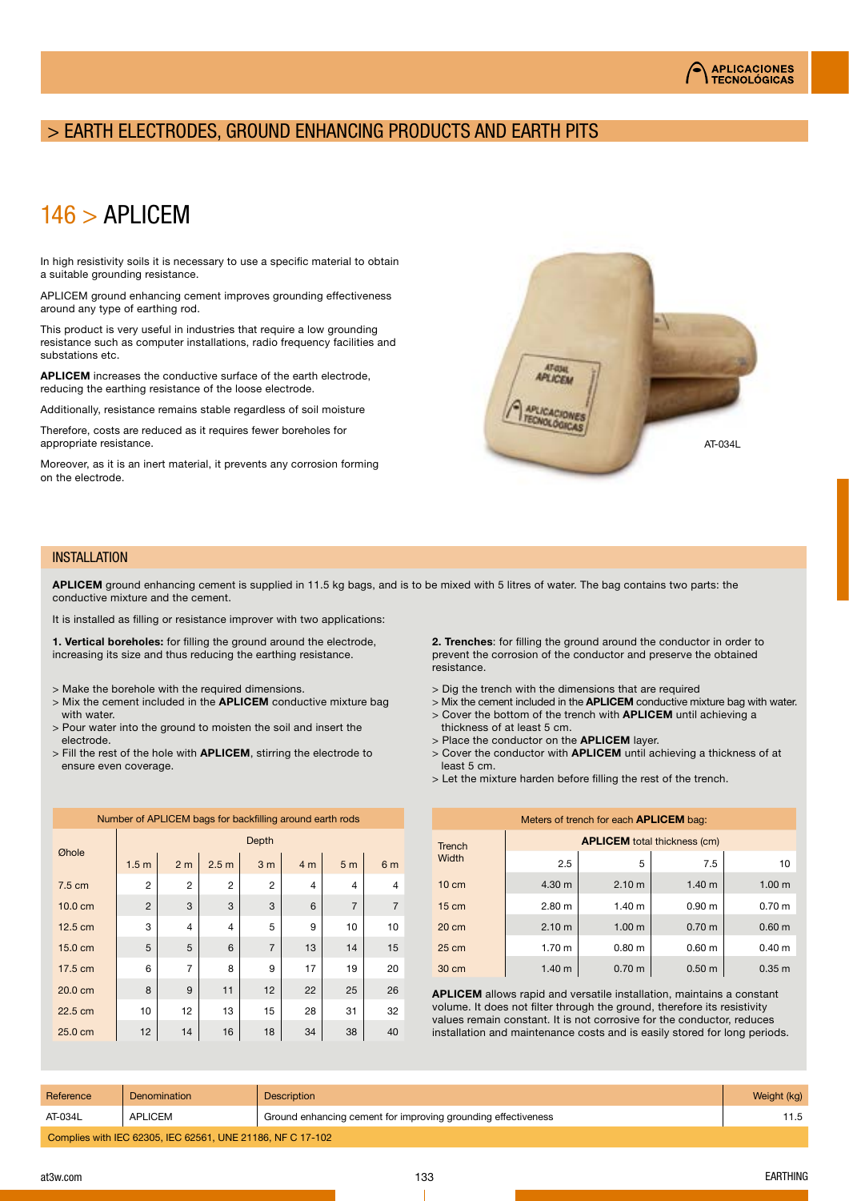#### **APLICACIONES TECNOLÓGICAS**

## > EARTH ELECTRODES, GROUND ENHANCING PRODUCTS AND EARTH PITS

## 146 > APLICEM

In high resistivity soils it is necessary to use a specific material to obtain a suitable grounding resistance.

APLICEM ground enhancing cement improves grounding effectiveness around any type of earthing rod.

This product is very useful in industries that require a low grounding resistance such as computer installations, radio frequency facilities and substations etc.

APLICEM increases the conductive surface of the earth electrode, reducing the earthing resistance of the loose electrode.

Additionally, resistance remains stable regardless of soil moisture

Therefore, costs are reduced as it requires fewer boreholes for appropriate resistance.

Moreover, as it is an inert material, it prevents any corrosion forming on the electrode.



#### INSTALLATION

APLICEM ground enhancing cement is supplied in 11.5 kg bags, and is to be mixed with 5 litres of water. The bag contains two parts: the conductive mixture and the cement.

It is installed as filling or resistance improver with two applications:

1. Vertical boreholes: for filling the ground around the electrode, increasing its size and thus reducing the earthing resistance.

- > Make the borehole with the required dimensions.
- $>$  Mix the cement included in the **APLICEM** conductive mixture bag with water.
- > Pour water into the ground to moisten the soil and insert the electrode.
- > Fill the rest of the hole with APLICEM, stirring the electrode to ensure even coverage.

2. Trenches: for filling the ground around the conductor in order to prevent the corrosion of the conductor and preserve the obtained resistance.

- > Dig the trench with the dimensions that are required
- $>$  Mix the cement included in the **APLICEM** conductive mixture bag with water.
- > Cover the bottom of the trench with **APLICEM** until achieving a thickness of at least 5 cm.
- > Place the conductor on the **APLICEM** layer.
- > Cover the conductor with **APLICEM** until achieving a thickness of at least 5 cm.
- > Let the mixture harden before filling the rest of the trench.

| Meters of trench for each <b>APLICEM</b> bag: |                                     |                   |                   |                   |  |
|-----------------------------------------------|-------------------------------------|-------------------|-------------------|-------------------|--|
| <b>Trench</b>                                 | <b>APLICEM</b> total thickness (cm) |                   |                   |                   |  |
| Width                                         | 2.5                                 | 5                 | 7.5               | 10                |  |
| $10 \text{ cm}$                               | 4.30 m                              | 2.10 <sub>m</sub> | 1.40 <sub>m</sub> | 1.00 <sub>m</sub> |  |
| $15 \text{ cm}$                               | 2.80 <sub>m</sub>                   | 1.40 m            | 0.90 <sub>m</sub> | 0.70 <sub>m</sub> |  |
| $20 \text{ cm}$                               | 2.10 <sub>m</sub>                   | 1.00 <sub>m</sub> | 0.70 <sub>m</sub> | 0.60 <sub>m</sub> |  |
| $25 \text{ cm}$                               | 1.70 <sub>m</sub>                   | 0.80 <sub>m</sub> | 0.60 <sub>m</sub> | 0.40 m            |  |
| 30 cm                                         | 1.40 m                              | 0.70 <sub>m</sub> | 0.50 <sub>m</sub> | 0.35 <sub>m</sub> |  |

APLICEM allows rapid and versatile installation, maintains a constant volume. It does not filter through the ground, therefore its resistivity values remain constant. It is not corrosive for the conductor, reduces installation and maintenance costs and is easily stored for long periods.

| Reference                                                  | Denomination   | <b>Description</b>                                            | Weight (kg) |  |
|------------------------------------------------------------|----------------|---------------------------------------------------------------|-------------|--|
| AT-034L                                                    | <b>APLICEM</b> | Ground enhancing cement for improving grounding effectiveness |             |  |
| Complies with IEC 62305, IEC 62561, UNE 21186, NF C 17-102 |                |                                                               |             |  |

## Øhole **Depth**  $1.5\,\text{m}$  2 m 2.5 m 3 m 4 m 5 m 6 m 7.5 cm | 2 | 2 | 2 | 2 | 4 | 4 | 4 10.0 cm | 2 | 3 | 3 | 3 | 6 | 7 | 7 12.5 cm | 3 | 4 | 4 | 5 | 9 | 10 | 10 15.0 cm | 5 | 5 | 6 | 7 | 13 | 14 | 15  $17.5 \text{ cm}$  6 7 8 9 17 19 20

20.0 cm | 8 | 9 | 11 | 12 | 22 | 25 | 26 22.5 cm | 10 | 12 | 13 | 15 | 28 | 31 | 32 25.0 cm | 12 | 14 | 16 | 18 | 34 | 38 | 40

Number of APLICEM bags for backfilling around earth rods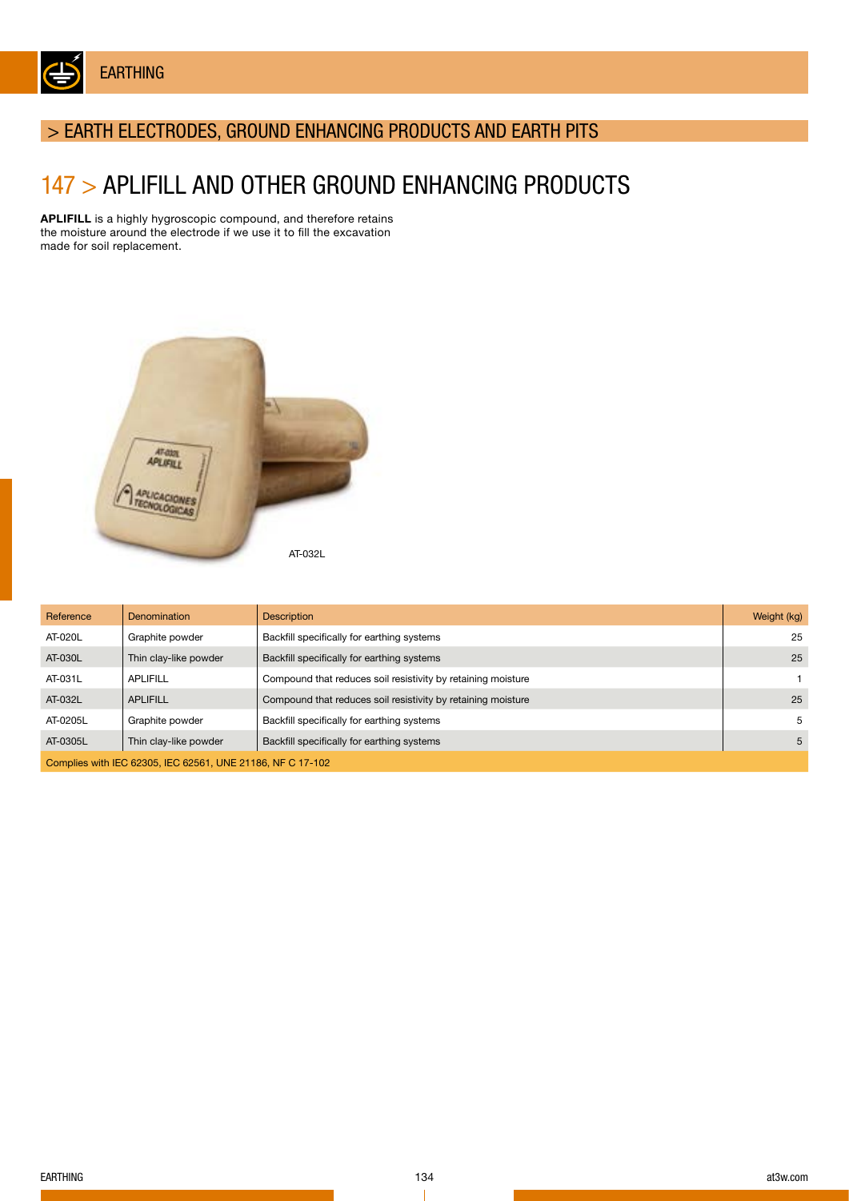

## > EARTH ELECTRODES, GROUND ENHANCING PRODUCTS AND EARTH PITS

## 147 > APLIFILL AND OTHER GROUND ENHANCING PRODUCTS

APLIFILL is a highly hygroscopic compound, and therefore retains the moisture around the electrode if we use it to fill the excavation made for soil replacement.



| Reference                                                  | Denomination          | <b>Description</b>                                           | Weight (kg) |  |
|------------------------------------------------------------|-----------------------|--------------------------------------------------------------|-------------|--|
| AT-020L                                                    | Graphite powder       | Backfill specifically for earthing systems                   | 25          |  |
| AT-030L                                                    | Thin clay-like powder | Backfill specifically for earthing systems                   | 25          |  |
| AT-031L                                                    | <b>APLIFILL</b>       | Compound that reduces soil resistivity by retaining moisture |             |  |
| AT-032L                                                    | <b>APLIFILL</b>       | Compound that reduces soil resistivity by retaining moisture | 25          |  |
| AT-0205L                                                   | Graphite powder       | Backfill specifically for earthing systems                   | 5           |  |
| AT-0305L                                                   | Thin clay-like powder | Backfill specifically for earthing systems                   | 5           |  |
| Complies with IEC 62305, IEC 62561, UNE 21186, NF C 17-102 |                       |                                                              |             |  |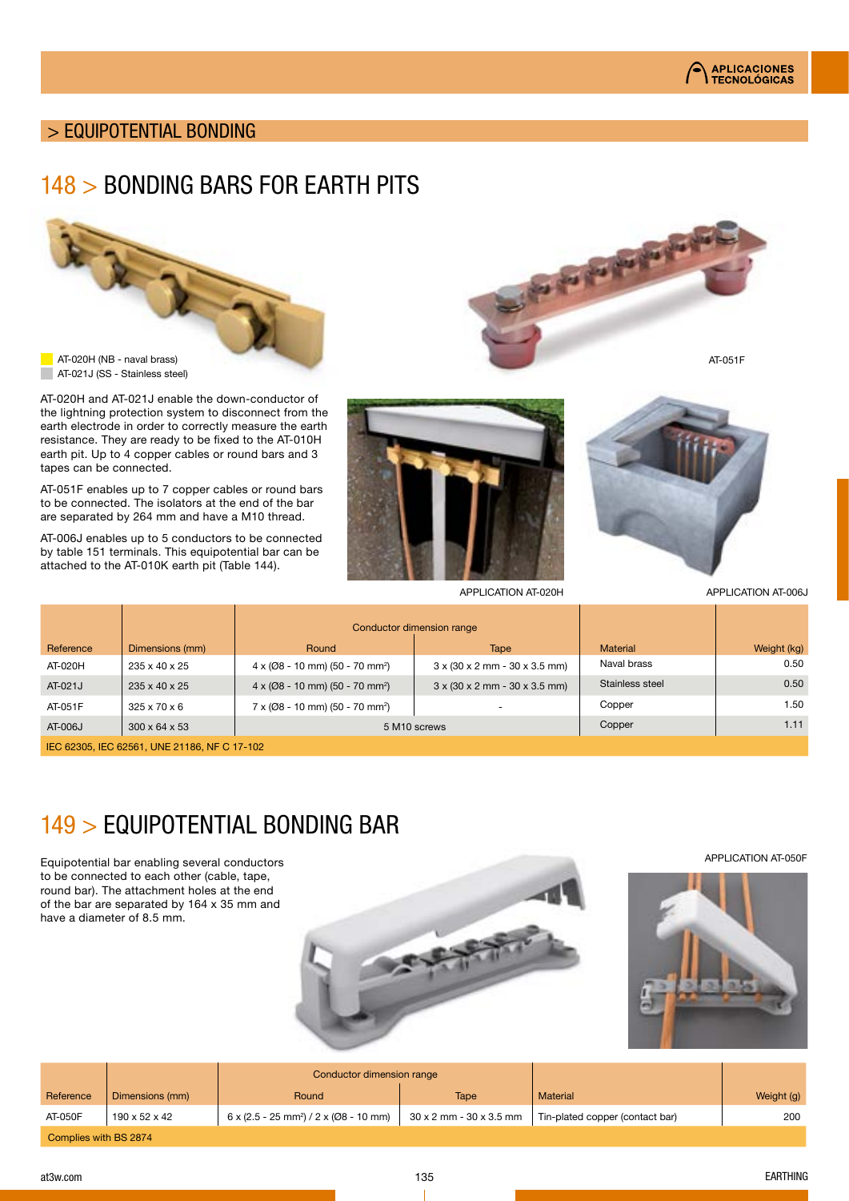

AT-051F

## > EQUIPOTENTIAL BONDING

## 148 > BONDING BARS FOR EARTH PITS



AT-020H and AT-021J enable the down-conductor of the lightning protection system to disconnect from the earth electrode in order to correctly measure the earth resistance. They are ready to be fixed to the AT-010H earth pit. Up to 4 copper cables or round bars and 3 tapes can be connected.

AT-051F enables up to 7 copper cables or round bars to be connected. The isolators at the end of the bar are separated by 264 mm and have a M10 thread.

AT-006J enables up to 5 conductors to be connected by table 151 terminals. This equipotential bar can be attached to the AT-010K earth pit (Table 144).





the first first first first

APPLICATION AT-020H APPLICATION AT-006J

|           |                           | Conductor dimension range                               |                                                                |                 |             |
|-----------|---------------------------|---------------------------------------------------------|----------------------------------------------------------------|-----------------|-------------|
| Reference | Dimensions (mm)           | Round                                                   | Tape                                                           | <b>Material</b> | Weight (kg) |
| AT-020H   | 235 x 40 x 25             | $4 \times (008 - 10 \text{ mm}) (50 - 70 \text{ mm}^2)$ | $3 \times (30 \times 2 \text{ mm} - 30 \times 3.5 \text{ mm})$ | Naval brass     | 0.50        |
| AT-021J   | 235 x 40 x 25             | $4 \times (008 - 10 \text{ mm}) (50 - 70 \text{ mm}^2)$ | $3 \times (30 \times 2 \text{ mm} - 30 \times 3.5 \text{ mm})$ | Stainless steel | 0.50        |
| AT-051F   | $325 \times 70 \times 6$  | $7 \times (008 - 10 \text{ mm}) (50 - 70 \text{ mm}^2)$ |                                                                | Copper          | 1.50        |
| AT-006J   | $300 \times 64 \times 53$ | 5 M <sub>10</sub> screws                                |                                                                | Copper          | 1.11        |

IEC 62305, IEC 62561, UNE 21186, NF C 17-102

# 149 > EQUIPOTENTIAL BONDING BAR

Equipotential bar enabling several conductors to be connected to each other (cable, tape, round bar). The attachment holes at the end of the bar are separated by 164 x 35 mm and have a diameter of 8.5 mm.



APPLICATION AT-050F



|                       |                 | Conductor dimension range                                            |                         |                                 |            |
|-----------------------|-----------------|----------------------------------------------------------------------|-------------------------|---------------------------------|------------|
| Reference             | Dimensions (mm) | Round                                                                | <b>Tape</b>             | <b>Material</b>                 | Weight (g) |
| AT-050F               | 190 x 52 x 42   | $6 \times (2.5 - 25 \text{ mm}^2) / 2 \times (0.08 - 10 \text{ mm})$ | 30 x 2 mm - 30 x 3.5 mm | Tin-plated copper (contact bar) | 200        |
| Complies with BS 2874 |                 |                                                                      |                         |                                 |            |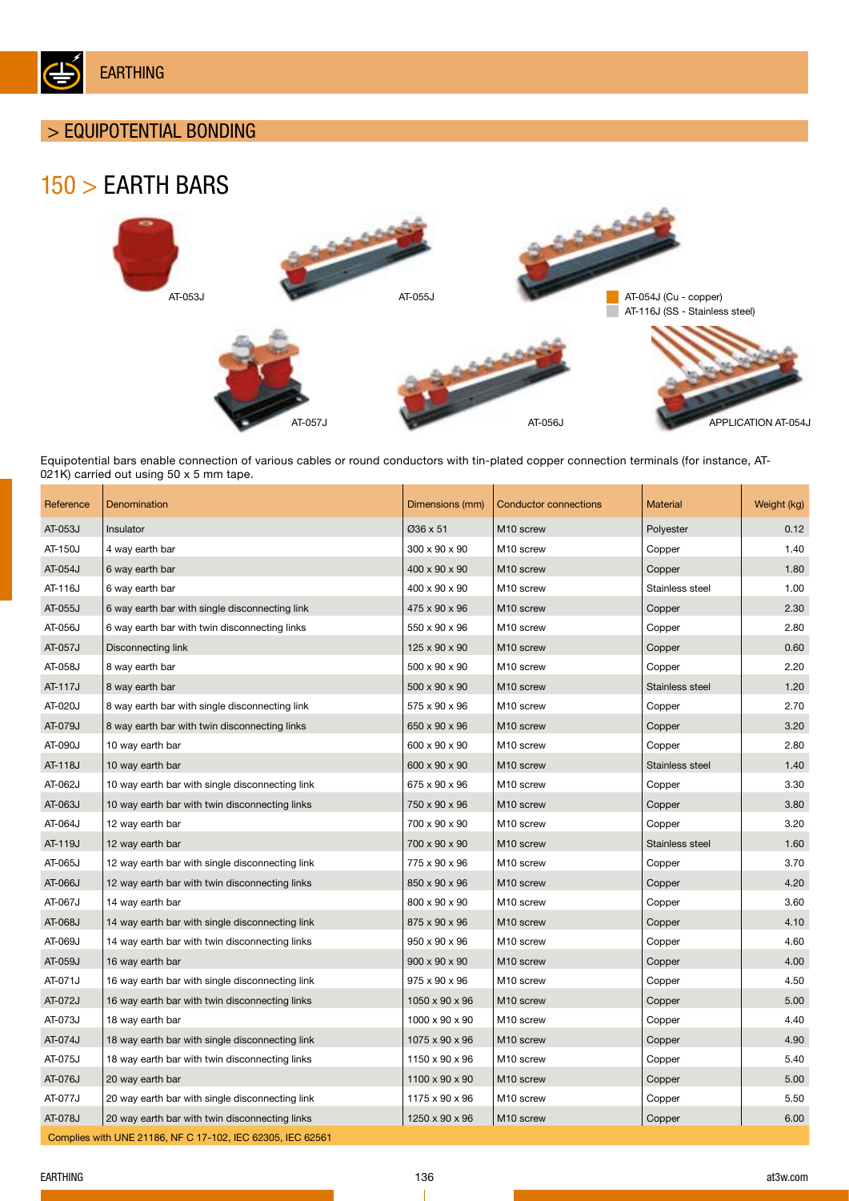

## > EQUIPOTENTIAL BONDING

# 150 > EARTH BARS



Equipotential bars enable connection of various cables or round conductors with tin-plated copper connection terminals (for instance, AT-021K) carried out using 50 x 5 mm tape.

| Reference | Denomination                                               | Dimensions (mm)           | <b>Conductor connections</b> | <b>Material</b> | Weight (kg) |  |  |
|-----------|------------------------------------------------------------|---------------------------|------------------------------|-----------------|-------------|--|--|
| AT-053J   | Insulator                                                  | Ø36 x 51                  | M <sub>10</sub> screw        | Polyester       | 0.12        |  |  |
| AT-150J   | 4 way earth bar                                            | 300 x 90 x 90             | M10 screw                    | Copper          | 1.40        |  |  |
| AT-054J   | 6 way earth bar                                            | 400 x 90 x 90             | M10 screw                    | Copper          | 1.80        |  |  |
| AT-116J   | 6 way earth bar                                            | 400 x 90 x 90             | M10 screw                    | Stainless steel | 1.00        |  |  |
| AT-055J   | 6 way earth bar with single disconnecting link             | 475 x 90 x 96             | M10 screw                    | Copper          | 2.30        |  |  |
| AT-056J   | 6 way earth bar with twin disconnecting links              | 550 x 90 x 96             | M10 screw                    | Copper          | 2.80        |  |  |
| AT-057J   | Disconnecting link                                         | 125 x 90 x 90             | M10 screw                    | Copper          | 0.60        |  |  |
| AT-058J   | 8 way earth bar                                            | 500 x 90 x 90             | M <sub>10</sub> screw        | Copper          | 2.20        |  |  |
| AT-117J   | 8 way earth bar                                            | 500 x 90 x 90             | M <sub>10</sub> screw        | Stainless steel | 1.20        |  |  |
| AT-020J   | 8 way earth bar with single disconnecting link             | 575 x 90 x 96             | M <sub>10</sub> screw        | Copper          | 2.70        |  |  |
| AT-079J   | 8 way earth bar with twin disconnecting links              | 650 x 90 x 96             | M <sub>10</sub> screw        | Copper          | 3.20        |  |  |
| AT-090J   | 10 way earth bar                                           | 600 x 90 x 90             | M <sub>10</sub> screw        | Copper          | 2.80        |  |  |
| AT-118J   | 10 way earth bar                                           | 600 x 90 x 90             | M <sub>10</sub> screw        | Stainless steel | 1.40        |  |  |
| AT-062J   | 10 way earth bar with single disconnecting link            | 675 x 90 x 96             | M <sub>10</sub> screw        | Copper          | 3.30        |  |  |
| AT-063J   | 10 way earth bar with twin disconnecting links             | 750 x 90 x 96             | M <sub>10</sub> screw        | Copper          | 3.80        |  |  |
| AT-064J   | 12 way earth bar                                           | 700 x 90 x 90             | M <sub>10</sub> screw        | Copper          | 3.20        |  |  |
| AT-119J   | 12 way earth bar                                           | 700 x 90 x 90             | M <sub>10</sub> screw        | Stainless steel | 1.60        |  |  |
| AT-065J   | 12 way earth bar with single disconnecting link            | 775 x 90 x 96             | M <sub>10</sub> screw        | Copper          | 3.70        |  |  |
| AT-066J   | 12 way earth bar with twin disconnecting links             | 850 x 90 x 96             | M <sub>10</sub> screw        | Copper          | 4.20        |  |  |
| AT-067J   | 14 way earth bar                                           | 800 x 90 x 90             | M <sub>10</sub> screw        | Copper          | 3.60        |  |  |
| AT-068J   | 14 way earth bar with single disconnecting link            | 875 x 90 x 96             | M <sub>10</sub> screw        | Copper          | 4.10        |  |  |
| AT-069J   | 14 way earth bar with twin disconnecting links             | 950 x 90 x 96             | M <sub>10</sub> screw        | Copper          | 4.60        |  |  |
| AT-059J   | 16 way earth bar                                           | $900 \times 90 \times 90$ | M <sub>10</sub> screw        | Copper          | 4.00        |  |  |
| AT-071J   | 16 way earth bar with single disconnecting link            | 975 x 90 x 96             | M <sub>10</sub> screw        | Copper          | 4.50        |  |  |
| AT-072J   | 16 way earth bar with twin disconnecting links             | 1050 x 90 x 96            | M <sub>10</sub> screw        | Copper          | 5.00        |  |  |
| AT-073J   | 18 way earth bar                                           | 1000 x 90 x 90            | M10 screw                    | Copper          | 4.40        |  |  |
| AT-074J   | 18 way earth bar with single disconnecting link            | 1075 x 90 x 96            | M <sub>10</sub> screw        | Copper          | 4.90        |  |  |
| AT-075J   | 18 way earth bar with twin disconnecting links             | 1150 x 90 x 96            | M10 screw                    | Copper          | 5.40        |  |  |
| AT-076J   | 20 way earth bar                                           | 1100 x 90 x 90            | M10 screw                    | Copper          | 5.00        |  |  |
| AT-077J   | 20 way earth bar with single disconnecting link            | 1175 x 90 x 96            | M <sub>10</sub> screw        | Copper          | 5.50        |  |  |
| AT-078J   | 20 way earth bar with twin disconnecting links             | 1250 x 90 x 96            | M10 screw                    | Copper          | 6.00        |  |  |
|           | Complies with UNE 21186, NF C 17-102, IEC 62305, IEC 62561 |                           |                              |                 |             |  |  |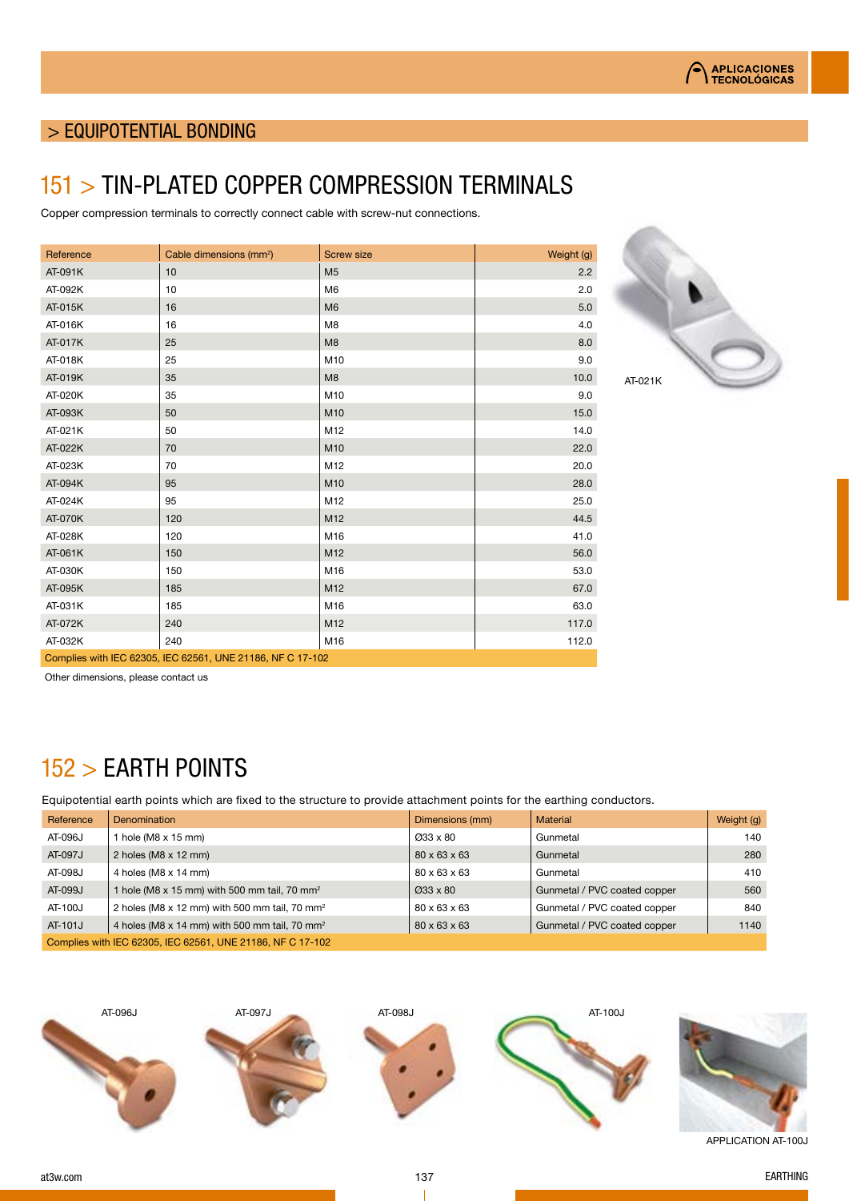

## > EQUIPOTENTIAL BONDING

## 151 > TIN-PLATED COPPER COMPRESSION TERMINALS

Copper compression terminals to correctly connect cable with screw-nut connections.

| Reference                                                  | Cable dimensions (mm <sup>2</sup> ) | <b>Screw size</b> | Weight (g) |  |
|------------------------------------------------------------|-------------------------------------|-------------------|------------|--|
| AT-091K                                                    | 10                                  | M <sub>5</sub>    | 2.2        |  |
| AT-092K                                                    | 10                                  | M <sub>6</sub>    | 2.0        |  |
| AT-015K                                                    | 16                                  | M <sub>6</sub>    | 5.0        |  |
| AT-016K                                                    | 16                                  | M8                | 4.0        |  |
| AT-017K                                                    | 25                                  | M <sub>8</sub>    | 8.0        |  |
| AT-018K                                                    | 25                                  | M10               | 9.0        |  |
| AT-019K                                                    | 35                                  | M <sub>8</sub>    | 10.0       |  |
| AT-020K                                                    | 35                                  | M10               | 9.0        |  |
| AT-093K                                                    | 50                                  | M10               | 15.0       |  |
| AT-021K                                                    | 50                                  | M12               | 14.0       |  |
| AT-022K                                                    | 70                                  | M10               | 22.0       |  |
| AT-023K                                                    | 70                                  | M12               | 20.0       |  |
| AT-094K                                                    | 95                                  | M10               | 28.0       |  |
| AT-024K                                                    | 95                                  | M12               | 25.0       |  |
| AT-070K                                                    | 120                                 | M12               | 44.5       |  |
| AT-028K                                                    | 120                                 | M16               | 41.0       |  |
| AT-061K                                                    | 150                                 | M12               | 56.0       |  |
| AT-030K                                                    | 150                                 | M16               | 53.0       |  |
| AT-095K                                                    | 185                                 | M12               | 67.0       |  |
| AT-031K                                                    | 185                                 | M16               | 63.0       |  |
| AT-072K                                                    | 240                                 | M12               | 117.0      |  |
| AT-032K                                                    | 240                                 | M16               | 112.0      |  |
| Complies with IEC 62305, IEC 62561, UNE 21186, NF C 17-102 |                                     |                   |            |  |



Other dimensions, please contact us

# 152 > EARTH POINTS

Equipotential earth points which are fixed to the structure to provide attachment points for the earthing conductors.

| Reference | Denomination                                                    | Dimensions (mm)       | <b>Material</b>              | Weight (g) |
|-----------|-----------------------------------------------------------------|-----------------------|------------------------------|------------|
| AT-096J   | hole (M8 x 15 mm)                                               | Ø33 x 80              | Gunmetal                     | 140        |
| AT-097J   | 2 holes ( $M8 \times 12$ mm)                                    | 80 x 63 x 63          | Gunmetal                     | 280        |
| AT-098J   | 4 holes (M8 x 14 mm)                                            | 80 x 63 x 63          | Gunmetal                     | 410        |
| AT-099J   | I hole (M8 $\times$ 15 mm) with 500 mm tail, 70 mm <sup>2</sup> | $\varnothing$ 33 x 80 | Gunmetal / PVC coated copper | 560        |
| AT-100J   | 2 holes (M8 x 12 mm) with 500 mm tail, 70 mm <sup>2</sup>       | 80 x 63 x 63          | Gunmetal / PVC coated copper | 840        |
| AT-101J   | 4 holes (M8 x 14 mm) with 500 mm tail, 70 mm <sup>2</sup>       | 80 x 63 x 63          | Gunmetal / PVC coated copper | 1140       |
|           | Complies with IEC 62305, IEC 62561, UNE 21186, NF C 17-102      |                       |                              |            |

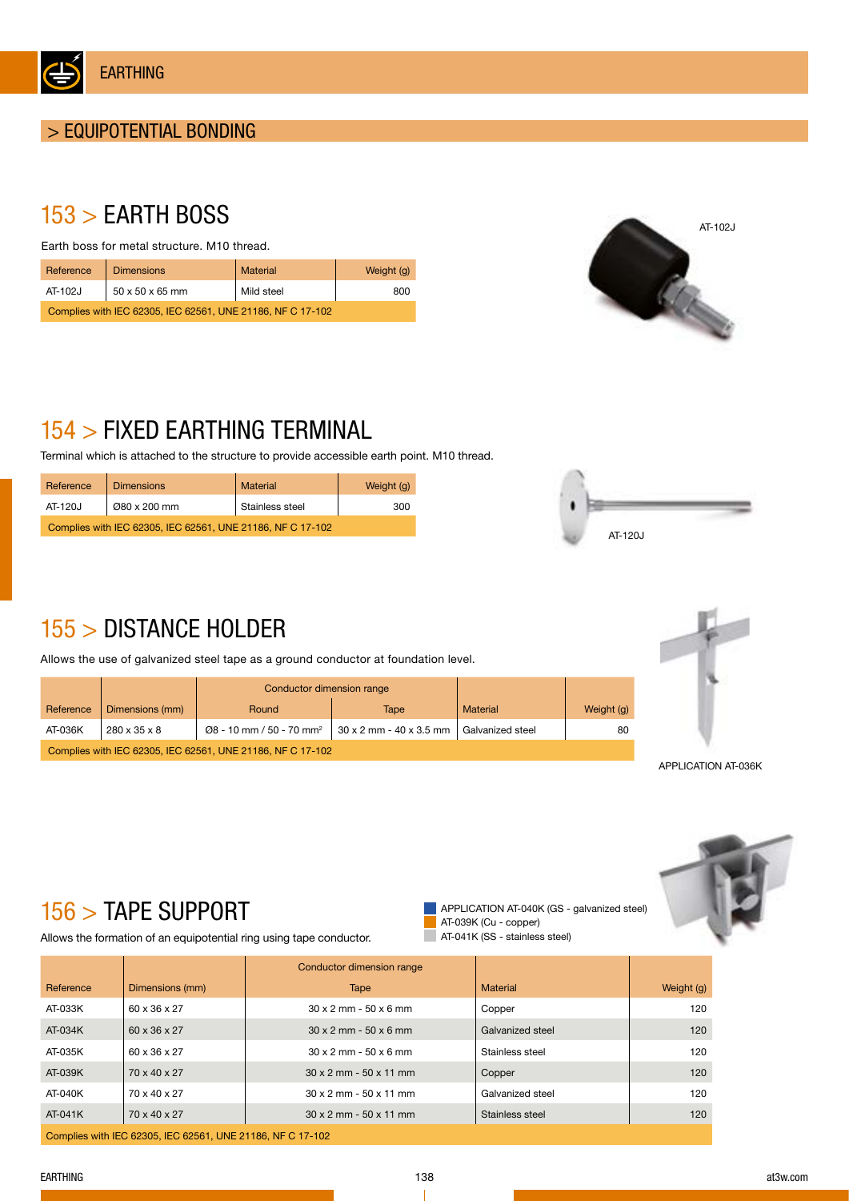

# 153 > EARTH BOSS

Earth boss for metal structure. M10 thread.

| Reference                                                  | <b>Dimensions</b> | <b>Material</b> | Weight (g) |  |  |
|------------------------------------------------------------|-------------------|-----------------|------------|--|--|
| AT-102J                                                    | 50 x 50 x 65 mm   | Mild steel      | 800        |  |  |
| Complies with IEC 62305, IEC 62561, UNE 21186, NF C 17-102 |                   |                 |            |  |  |



# 154 > FIXED EARTHING TERMINAL

Terminal which is attached to the structure to provide accessible earth point. M10 thread.

| Reference                                                  | <b>Dimensions</b> | <b>Material</b> | Weight (g) |  |  |
|------------------------------------------------------------|-------------------|-----------------|------------|--|--|
| AT-120J                                                    | Ø80 x 200 mm      | Stainless steel | 300        |  |  |
| Complies with IEC 62305, IEC 62561, UNE 21186, NF C 17-102 |                   |                 |            |  |  |



# 155 > DISTANCE HOLDER

Allows the use of galvanized steel tape as a ground conductor at foundation level.

|                                                            |                 | Conductor dimension range            |                         |                  |            |
|------------------------------------------------------------|-----------------|--------------------------------------|-------------------------|------------------|------------|
| Reference                                                  | Dimensions (mm) | Round                                | Tape                    | <b>Material</b>  | Weight (g) |
| AT-036K                                                    | 280 x 35 x 8    | Ø8 - 10 mm / 50 - 70 mm <sup>2</sup> | 30 x 2 mm - 40 x 3.5 mm | Galvanized steel | 80         |
| Complies with IEC 62305, IEC 62561, UNE 21186, NF C 17-102 |                 |                                      |                         |                  |            |



APPLICATION AT-036K



# 156 > TAPE SUPPORT

Allows the formation of an equipotential ring using tape conductor.

APPLICATION AT-040K (GS - galvanized steel) AT-039K (Cu - copper) AT-041K (SS - stainless steel)

|           |                                                            | Conductor dimension range            |                  |            |
|-----------|------------------------------------------------------------|--------------------------------------|------------------|------------|
| Reference | Dimensions (mm)                                            | Tape                                 | <b>Material</b>  | Weight (g) |
| AT-033K   | 60 x 36 x 27                                               | $30 \times 2$ mm $-50 \times 6$ mm   | Copper           | 120        |
| AT-034K   | 60 x 36 x 27                                               | $30 \times 2$ mm $-50 \times 6$ mm   | Galvanized steel | 120        |
| AT-035K   | 60 x 36 x 27                                               | $30 \times 2$ mm $-50 \times 6$ mm   | Stainless steel  | 120        |
| AT-039K   | 70 x 40 x 27                                               | $30 \times 2$ mm - $50 \times 11$ mm | Copper           | 120        |
| AT-040K   | 70 x 40 x 27                                               | $30 \times 2$ mm - $50 \times 11$ mm | Galvanized steel | 120        |
| $AT-041K$ | 70 x 40 x 27                                               | $30 \times 2$ mm - $50 \times 11$ mm | Stainless steel  | 120        |
|           | Complies with IEC 62305, IEC 62561, UNE 21186, NF C 17-102 |                                      |                  |            |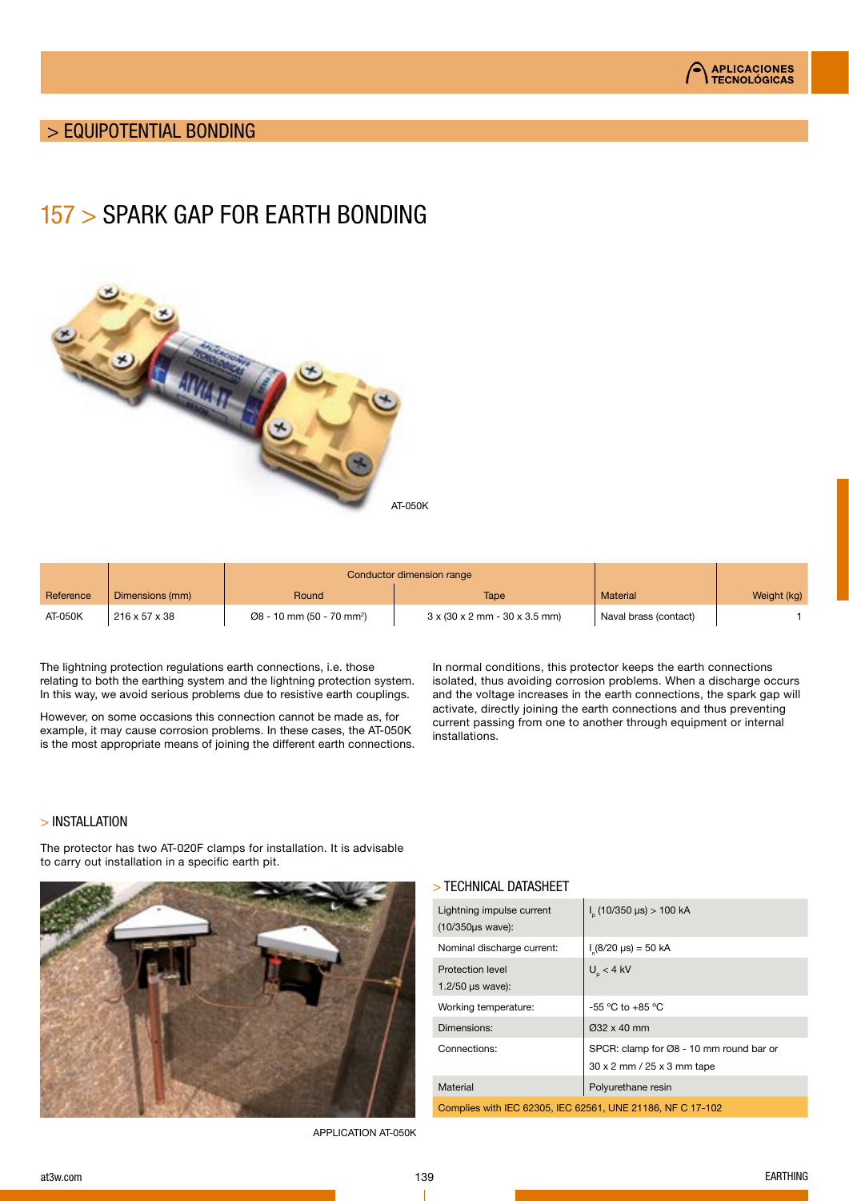

## > EQUIPOTENTIAL BONDING

## 157 > SPARK GAP FOR EARTH BONDING



|           |                 | Conductor dimension range                          |                                                                |                       |             |
|-----------|-----------------|----------------------------------------------------|----------------------------------------------------------------|-----------------------|-------------|
| Reference | Dimensions (mm) | Round                                              | Tape                                                           | <b>Material</b>       | Weight (kg) |
| AT-050K   | 216 x 57 x 38   | $\varnothing$ 8 - 10 mm (50 - 70 mm <sup>2</sup> ) | $3 \times (30 \times 2 \text{ mm} - 30 \times 3.5 \text{ mm})$ | Naval brass (contact) |             |

The lightning protection regulations earth connections, i.e. those relating to both the earthing system and the lightning protection system. In this way, we avoid serious problems due to resistive earth couplings.

However, on some occasions this connection cannot be made as, for example, it may cause corrosion problems. In these cases, the AT-050K is the most appropriate means of joining the different earth connections. In normal conditions, this protector keeps the earth connections isolated, thus avoiding corrosion problems. When a discharge occurs and the voltage increases in the earth connections, the spark gap will activate, directly joining the earth connections and thus preventing current passing from one to another through equipment or internal installations.

#### > INSTALLATION

The protector has two AT-020F clamps for installation. It is advisable to carry out installation in a specific earth pit.



#### APPLICATION AT-050K

#### > TECHNICAL DATASHEET

| Lightning impulse current<br>(10/350us wave):              | $I_{n}$ (10/350 µs) > 100 kA                                          |  |  |  |  |
|------------------------------------------------------------|-----------------------------------------------------------------------|--|--|--|--|
| Nominal discharge current:                                 | $I_c(8/20 \text{ }\mu\text{s}) = 50 \text{ }\kappa\text{A}$           |  |  |  |  |
| Protection level<br>1.2/50 $\mu s$ wave):                  | $U_{p}$ < 4 kV                                                        |  |  |  |  |
| Working temperature:                                       | $-55$ °C to $+85$ °C                                                  |  |  |  |  |
| Dimensions:                                                | Ø32 x 40 mm                                                           |  |  |  |  |
| Connections:                                               | SPCR: clamp for Ø8 - 10 mm round bar or<br>30 x 2 mm / 25 x 3 mm tape |  |  |  |  |
| Material                                                   | Polyurethane resin                                                    |  |  |  |  |
| Complies with IEC 62305, IEC 62561, UNE 21186, NF C 17-102 |                                                                       |  |  |  |  |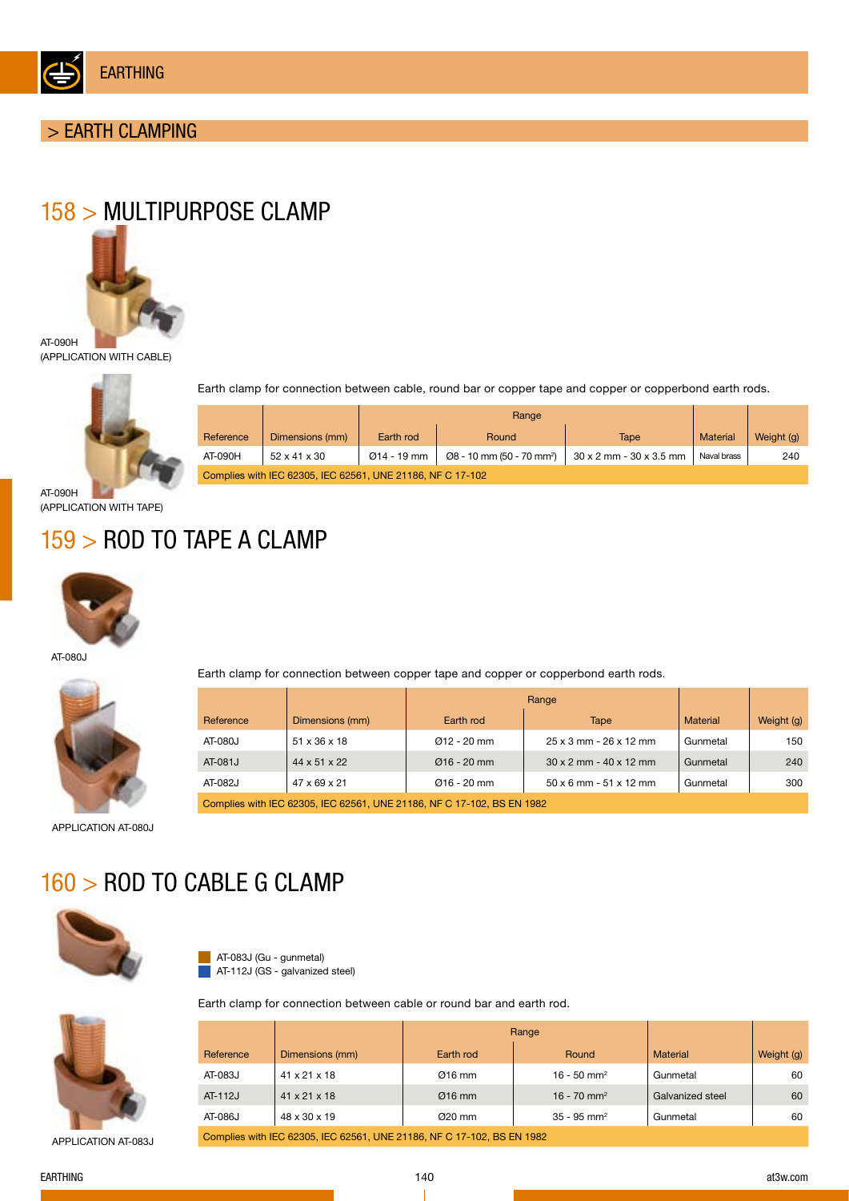

## > EARTH CLAMPING

# 158 > MULTIPURPOSE CLAMP



(APPLICATION WITH CABLE)



Range Earth clamp for connection between cable, round bar or copper tape and copper or copperbond earth rods.

|                                                            |                          | naliye      |                                                    |                                       |             |            |  |
|------------------------------------------------------------|--------------------------|-------------|----------------------------------------------------|---------------------------------------|-------------|------------|--|
| Reference                                                  | Dimensions (mm)          | Earth rod   | Round                                              | Tape                                  | Material    | Weight (g) |  |
| AT-090H                                                    | $52 \times 41 \times 30$ | Ø14 - 19 mm | $\varnothing$ 8 - 10 mm (50 - 70 mm <sup>2</sup> ) | $30 \times 2$ mm - $30 \times 3.5$ mm | Naval brass | 240        |  |
| Complies with IEC 62305, IEC 62561, UNE 21186, NF C 17-102 |                          |             |                                                    |                                       |             |            |  |

AT-090H (APPLICATION WITH TAPE)

# 159 > ROD TO TAPE A CLAMP



AT-080J



Earth clamp for connection between copper tape and copper or copperbond earth rods.

| Reference                                                              | Dimensions (mm) | Earth rod     | Tape                                 | Material | Weight (g) |  |  |
|------------------------------------------------------------------------|-----------------|---------------|--------------------------------------|----------|------------|--|--|
| AT-080J                                                                | 51 x 36 x 18    | $Q12 - 20$ mm | 25 x 3 mm - 26 x 12 mm               | Gunmetal | 150        |  |  |
| AT-081J                                                                | 44 x 51 x 22    | $Q16 - 20$ mm | $30 \times 2$ mm - $40 \times 12$ mm | Gunmetal | 240        |  |  |
| AT-082J                                                                | 47 x 69 x 21    | $Q16 - 20$ mm | $50 \times 6$ mm - $51 \times 12$ mm | Gunmetal | 300        |  |  |
| Complies with IEC 62305, IEC 62561, UNE 21186, NF C 17-102, BS EN 1982 |                 |               |                                      |          |            |  |  |

APPLICATION AT-080J

# 160 > ROD TO CABLE G CLAMP



AT-083J (Gu - gunmetal) **AT-112J (GS - galvanized steel)** 



APPLICATION AT-083J

|                                                                        |                          | Range     |                           |                  |            |  |  |
|------------------------------------------------------------------------|--------------------------|-----------|---------------------------|------------------|------------|--|--|
| Reference                                                              | Dimensions (mm)          | Earth rod | Round                     | <b>Material</b>  | Weight (g) |  |  |
| AT-083J                                                                | $41 \times 21 \times 18$ | $Ø16$ mm  | $16 - 50$ mm <sup>2</sup> | Gunmetal         | 60         |  |  |
| AT-112J                                                                | $41 \times 21 \times 18$ | $Ø16$ mm  | 16 - 70 mm <sup>2</sup>   | Galvanized steel | 60         |  |  |
| AT-086J                                                                | 48 x 30 x 19             | $Q20$ mm  | $35 - 95$ mm <sup>2</sup> | Gunmetal         | 60         |  |  |
| Complies with IEC 62305, IEC 62561, UNE 21186, NF C 17-102, BS EN 1982 |                          |           |                           |                  |            |  |  |

EARTHING

Earth clamp for connection between cable or round bar and earth rod.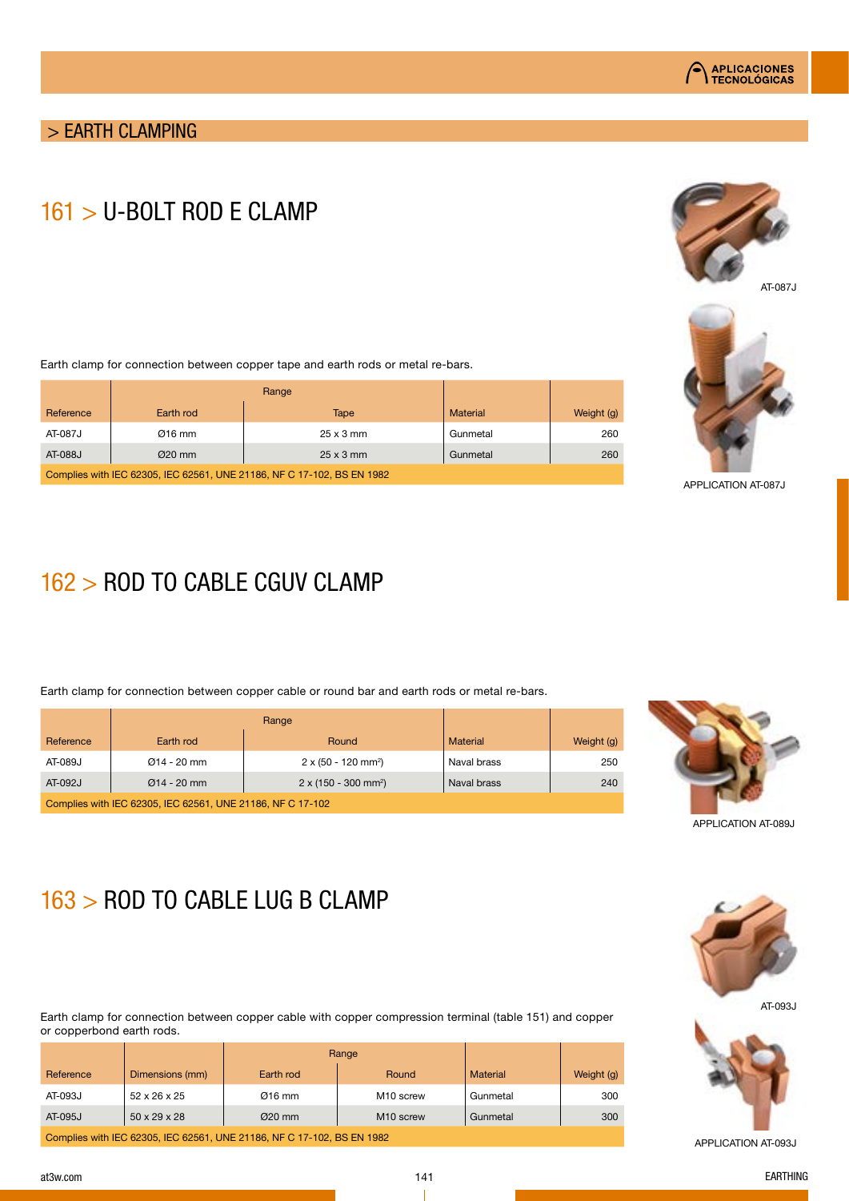

# 161 > U-BOLT ROD E CLAMP



AT-087J



APPLICATION AT-087J

Earth clamp for connection between copper tape and earth rods or metal re-bars.

| Reference                                                              | Earth rod | Tape             | <b>Material</b> | Weight (g) |  |  |  |
|------------------------------------------------------------------------|-----------|------------------|-----------------|------------|--|--|--|
| AT-087J                                                                | $Q16$ mm  | $25 \times 3$ mm | Gunmetal        | 260        |  |  |  |
| AT-088J                                                                | $Ø20$ mm  | $25 \times 3$ mm | Gunmetal        | 260        |  |  |  |
| Complies with IEC 62305, IEC 62561, UNE 21186, NF C 17-102, BS EN 1982 |           |                  |                 |            |  |  |  |

# 162 > ROD TO CABLE CGUV CLAMP

Earth clamp for connection between copper cable or round bar and earth rods or metal re-bars.

| Reference                                                  | Earth rod      | Round                                   | <b>Material</b> | Weight (g) |  |  |  |
|------------------------------------------------------------|----------------|-----------------------------------------|-----------------|------------|--|--|--|
| AT-089J                                                    | $Q$ 14 - 20 mm | $2 \times (50 - 120$ mm <sup>2</sup> )  | Naval brass     | 250        |  |  |  |
| AT-092J<br>$Q$ 14 - 20 mm                                  |                | $2 \times (150 - 300$ mm <sup>2</sup> ) | Naval brass     | 240        |  |  |  |
| Complies with IEC 62305, IEC 62561, UNE 21186, NF C 17-102 |                |                                         |                 |            |  |  |  |



APPLICATION AT-089J

# 163 > ROD TO CABLE LUG B CLAMP

Earth clamp for connection between copper cable with copper compression terminal (table 151) and copper or copperbond earth rods.

|                                                                        |                          | Range     |                       |          |            |  |  |  |
|------------------------------------------------------------------------|--------------------------|-----------|-----------------------|----------|------------|--|--|--|
| Reference                                                              | Dimensions (mm)          | Earth rod | Round                 | Material | Weight (g) |  |  |  |
| AT-093J                                                                | $52 \times 26 \times 25$ | $Q16$ mm  | M <sub>10</sub> screw | Gunmetal | 300        |  |  |  |
| AT-095J                                                                | $50 \times 29 \times 28$ | $Q20$ mm  | M <sub>10</sub> screw | Gunmetal | 300        |  |  |  |
| Complies with IEC 62305, IEC 62561, UNE 21186, NF C 17-102, BS EN 1982 |                          |           |                       |          |            |  |  |  |







APPLICATION AT-093J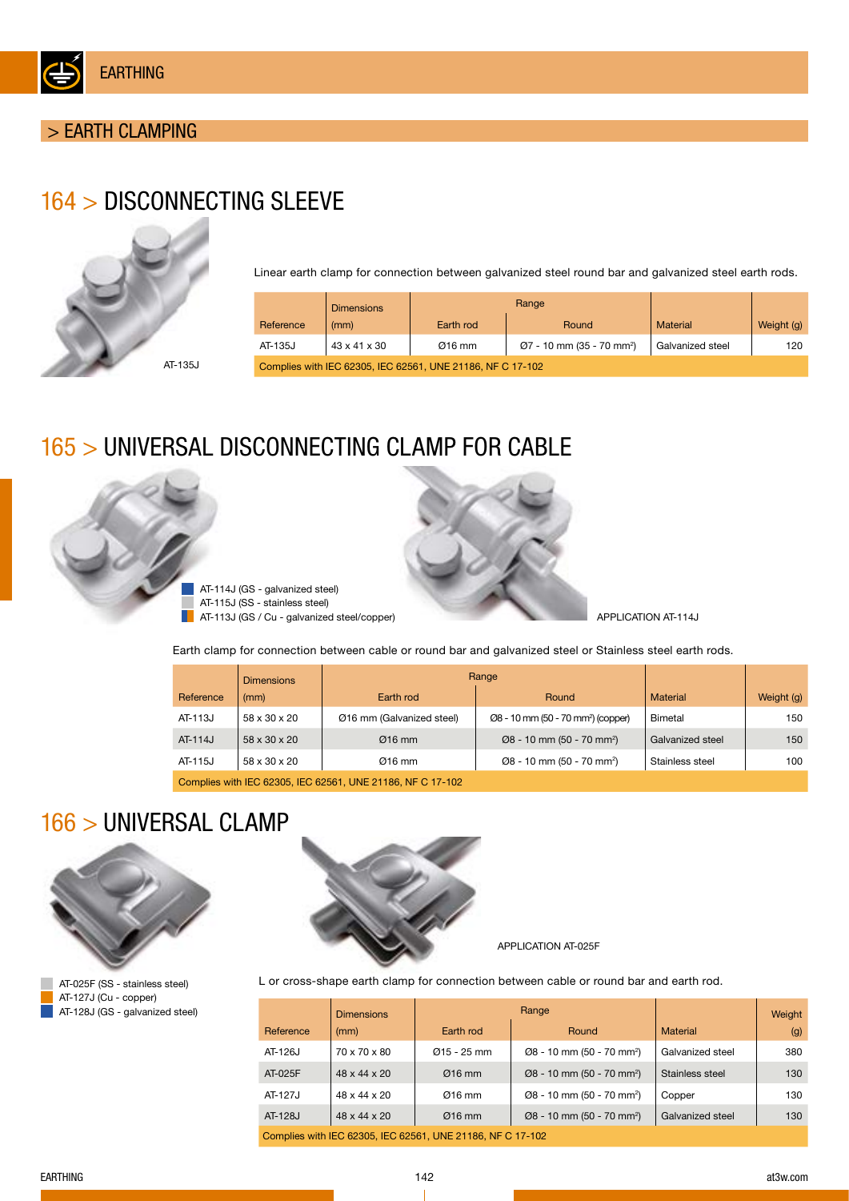

# 164 > DISCONNECTING SLEEVE



Linear earth clamp for connection between galvanized steel round bar and galvanized steel earth rods.

|                                                            | <b>Dimensions</b> |           | Range                                    |                  |            |  |  |  |
|------------------------------------------------------------|-------------------|-----------|------------------------------------------|------------------|------------|--|--|--|
| Reference                                                  | (mm)              | Earth rod | Round                                    | Material         | Weight (g) |  |  |  |
| AT-135J                                                    | 43 x 41 x 30      | $Ø16$ mm  | $Q$ 7 - 10 mm (35 - 70 mm <sup>2</sup> ) | Galvanized steel | 120        |  |  |  |
| Complies with IEC 62305, IEC 62561, UNE 21186, NF C 17-102 |                   |           |                                          |                  |            |  |  |  |

## 165 > UNIVERSAL DISCONNECTING CLAMP FOR CABLE





APPLICATION AT-114J

Earth clamp for connection between cable or round bar and galvanized steel or Stainless steel earth rods.

|           | <b>Dimensions</b>                                          | Range                     |                                                |                  |            |  |  |  |
|-----------|------------------------------------------------------------|---------------------------|------------------------------------------------|------------------|------------|--|--|--|
| Reference | (mm)                                                       | Earth rod                 | Round                                          | Material         | Weight (g) |  |  |  |
| AT-113J   | 58 x 30 x 20                                               | Ø16 mm (Galvanized steel) | Ø8 - 10 mm (50 - 70 mm <sup>2</sup> ) (copper) | Bimetal          | 150        |  |  |  |
| AT-114J   | $58 \times 30 \times 20$                                   | $Q16$ mm                  | $Ø8 - 10$ mm (50 - 70 mm <sup>2</sup> )        | Galvanized steel | 150        |  |  |  |
| AT-115J   | 58 x 30 x 20                                               | $Q16$ mm                  | $Ø8 - 10$ mm (50 - 70 mm <sup>2</sup> )        | Stainless steel  | 100        |  |  |  |
|           | Complies with IEC 62305, IEC 62561, UNE 21186, NF C 17-102 |                           |                                                |                  |            |  |  |  |

# 166 > UNIVERSAL CLAMP





APPLICATION AT-025F

L or cross-shape earth clamp for connection between cable or round bar and earth rod.

|                                                            | <b>Dimensions</b> |               | Range                                   |                  | Weight |  |  |
|------------------------------------------------------------|-------------------|---------------|-----------------------------------------|------------------|--------|--|--|
| Reference                                                  | (mm)              | Earth rod     | Round                                   | Material         | (g)    |  |  |
| AT-126J                                                    | 70 x 70 x 80      | $Q15 - 25$ mm | $Ø8 - 10$ mm (50 - 70 mm <sup>2</sup> ) | Galvanized steel | 380    |  |  |
| AT-025F                                                    | 48 x 44 x 20      | $Ø16$ mm      | $Ø8 - 10$ mm (50 - 70 mm <sup>2</sup> ) | Stainless steel  | 130    |  |  |
| AT-127J                                                    | 48 x 44 x 20      | $Ø16$ mm      | $Ø8 - 10$ mm (50 - 70 mm <sup>2</sup> ) | Copper           | 130    |  |  |
| AT-128J                                                    | 48 x 44 x 20      | $Ø16$ mm      | $Ø8 - 10$ mm (50 - 70 mm <sup>2</sup> ) | Galvanized steel | 130    |  |  |
| Complies with IEC 62305, IEC 62561, UNE 21186, NF C 17-102 |                   |               |                                         |                  |        |  |  |

AT-025F (SS - stainless steel) AT-127J (Cu - copper) AT-128J (GS - galvanized steel)